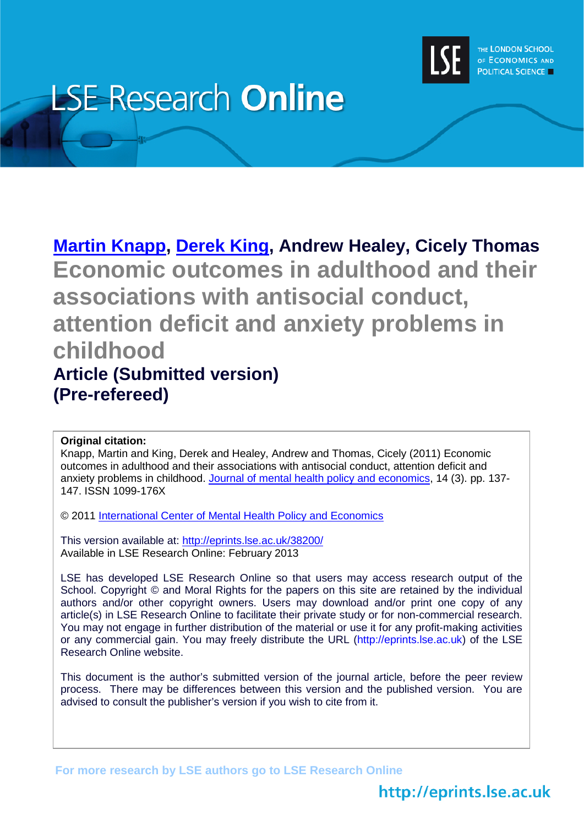

# **LSE Research Online**

# **[Martin Knapp,](http://www2.lse.ac.uk/researchAndExpertise/Experts/profile.aspx?KeyValue=m.knapp@lse.ac.uk) [Derek King,](http://www2.lse.ac.uk/researchAndExpertise/Experts/profile.aspx?KeyValue=d.king@lse.ac.uk) Andrew Healey, Cicely Thomas Economic outcomes in adulthood and their associations with antisocial conduct, attention deficit and anxiety problems in childhood Article (Submitted version) (Pre-refereed)**

#### **Original citation:**

Knapp, Martin and King, Derek and Healey, Andrew and Thomas, Cicely (2011) Economic outcomes in adulthood and their associations with antisocial conduct, attention deficit and anxiety problems in childhood. [Journal of mental health policy and economics,](http://www.icmpe.org/test1/journal/journal.htm) 14 (3). pp. 137-147. ISSN 1099-176X

© 2011 [International Center of Mental Health Policy and Economics](http://www.icmpe.org/)

This version available at:<http://eprints.lse.ac.uk/38200/> Available in LSE Research Online: February 2013

LSE has developed LSE Research Online so that users may access research output of the School. Copyright © and Moral Rights for the papers on this site are retained by the individual authors and/or other copyright owners. Users may download and/or print one copy of any article(s) in LSE Research Online to facilitate their private study or for non-commercial research. You may not engage in further distribution of the material or use it for any profit-making activities or any commercial gain. You may freely distribute the URL (http://eprints.lse.ac.uk) of the LSE Research Online website.

This document is the author's submitted version of the journal article, before the peer review process. There may be differences between this version and the published version. You are advised to consult the publisher's version if you wish to cite from it.

**For more research by LSE authors go to [LSE Research Online](http://eprints.lse.ac.uk/)**

# http://eprints.lse.ac.uk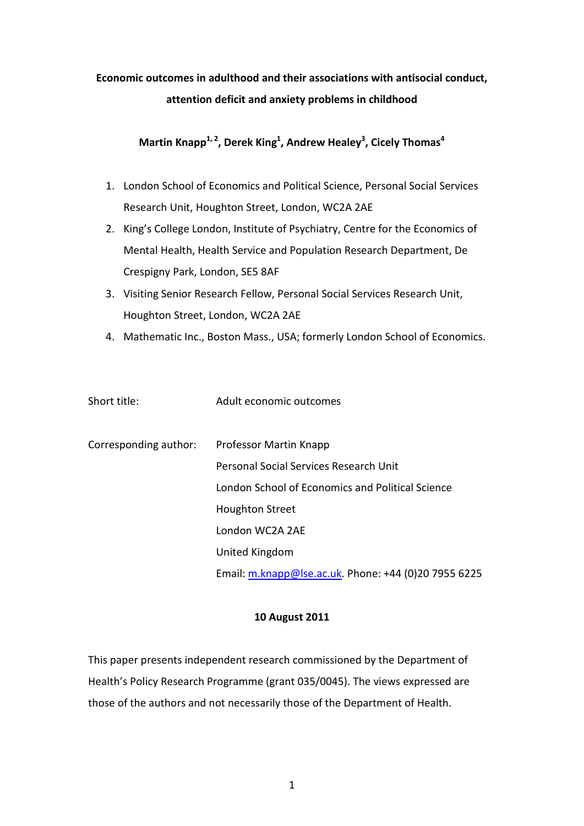# **Economic outcomes in adulthood and their associations with antisocial conduct, attention deficit and anxiety problems in childhood**

## **Martin Knapp1, 2, Derek King1 , Andrew Healey3 , Cicely Thomas<sup>4</sup>**

- 1. London School of Economics and Political Science, Personal Social Services Research Unit, Houghton Street, London, WC2A 2AE
- 2. King's College London, Institute of Psychiatry, Centre for the Economics of Mental Health, Health Service and Population Research Department, De Crespigny Park, London, SE5 8AF
- 3. Visiting Senior Research Fellow, Personal Social Services Research Unit, Houghton Street, London, WC2A 2AE
- 4. Mathematic Inc., Boston Mass., USA; formerly London School of Economics.

| Short title:          | Adult economic outcomes                              |
|-----------------------|------------------------------------------------------|
| Corresponding author: | <b>Professor Martin Knapp</b>                        |
|                       | Personal Social Services Research Unit               |
|                       | London School of Economics and Political Science     |
|                       | <b>Houghton Street</b>                               |
|                       | London WC2A 2AE                                      |
|                       | United Kingdom                                       |
|                       | Email: m.knapp@lse.ac.uk. Phone: +44 (0)20 7955 6225 |

#### **10 August 2011**

This paper presents independent research commissioned by the Department of Health's Policy Research Programme (grant 035/0045). The views expressed are those of the authors and not necessarily those of the Department of Health.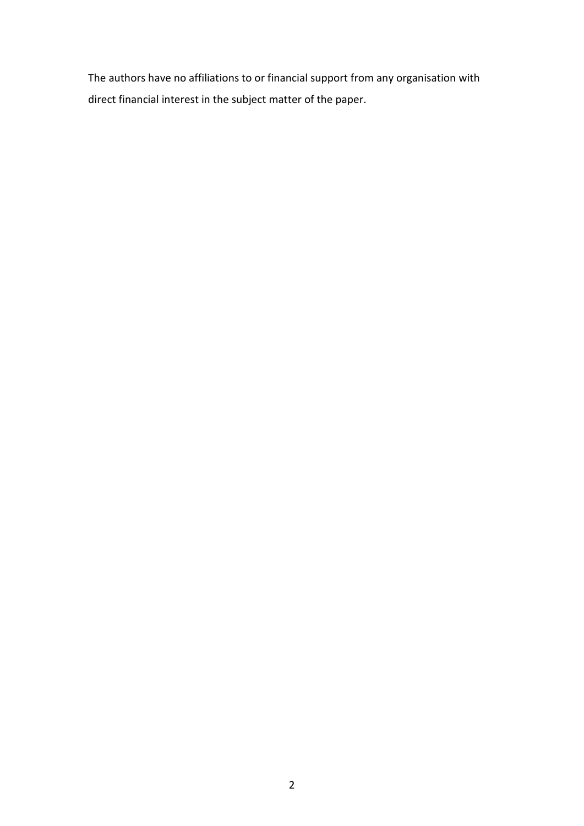The authors have no affiliations to or financial support from any organisation with direct financial interest in the subject matter of the paper.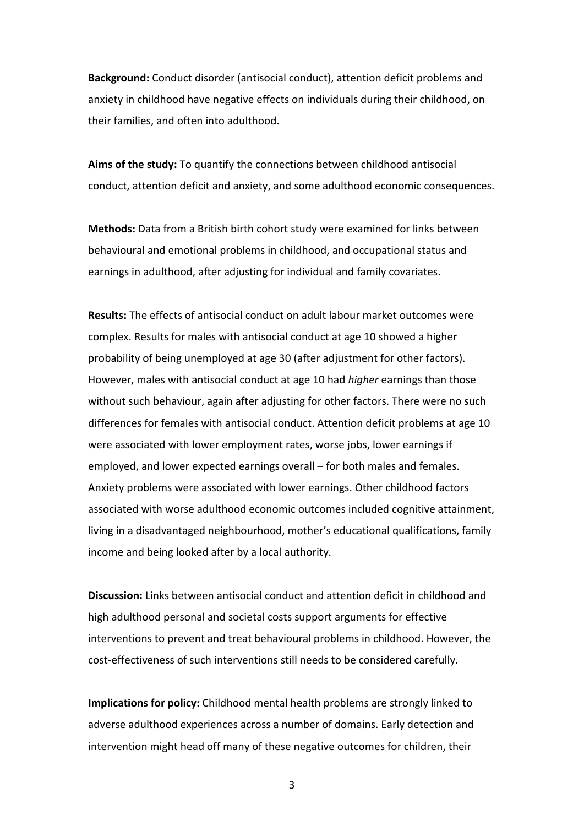**Background:** Conduct disorder (antisocial conduct), attention deficit problems and anxiety in childhood have negative effects on individuals during their childhood, on their families, and often into adulthood.

**Aims of the study:** To quantify the connections between childhood antisocial conduct, attention deficit and anxiety, and some adulthood economic consequences.

**Methods:** Data from a British birth cohort study were examined for links between behavioural and emotional problems in childhood, and occupational status and earnings in adulthood, after adjusting for individual and family covariates.

**Results:** The effects of antisocial conduct on adult labour market outcomes were complex. Results for males with antisocial conduct at age 10 showed a higher probability of being unemployed at age 30 (after adjustment for other factors). However, males with antisocial conduct at age 10 had *higher* earnings than those without such behaviour, again after adjusting for other factors. There were no such differences for females with antisocial conduct. Attention deficit problems at age 10 were associated with lower employment rates, worse jobs, lower earnings if employed, and lower expected earnings overall – for both males and females. Anxiety problems were associated with lower earnings. Other childhood factors associated with worse adulthood economic outcomes included cognitive attainment, living in a disadvantaged neighbourhood, mother's educational qualifications, family income and being looked after by a local authority.

**Discussion:** Links between antisocial conduct and attention deficit in childhood and high adulthood personal and societal costs support arguments for effective interventions to prevent and treat behavioural problems in childhood. However, the cost-effectiveness of such interventions still needs to be considered carefully.

**Implications for policy:** Childhood mental health problems are strongly linked to adverse adulthood experiences across a number of domains. Early detection and intervention might head off many of these negative outcomes for children, their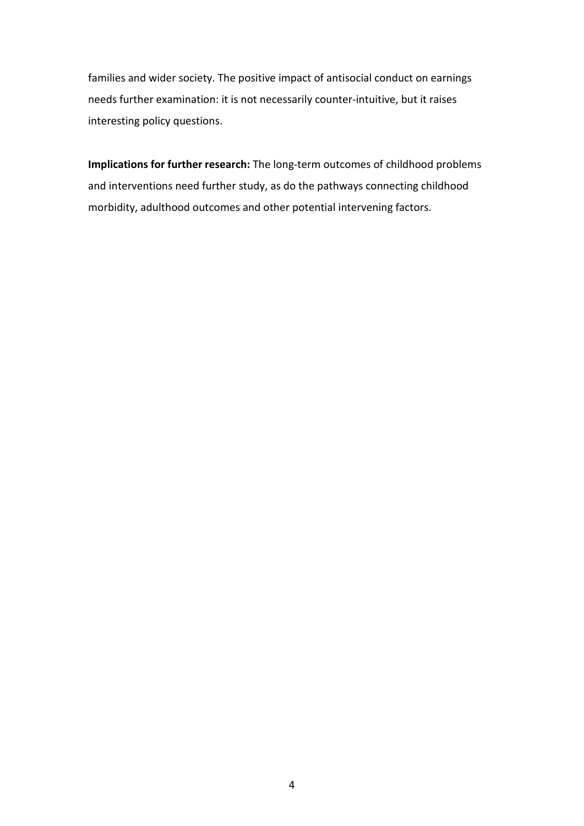families and wider society. The positive impact of antisocial conduct on earnings needs further examination: it is not necessarily counter-intuitive, but it raises interesting policy questions.

**Implications for further research:** The long-term outcomes of childhood problems and interventions need further study, as do the pathways connecting childhood morbidity, adulthood outcomes and other potential intervening factors.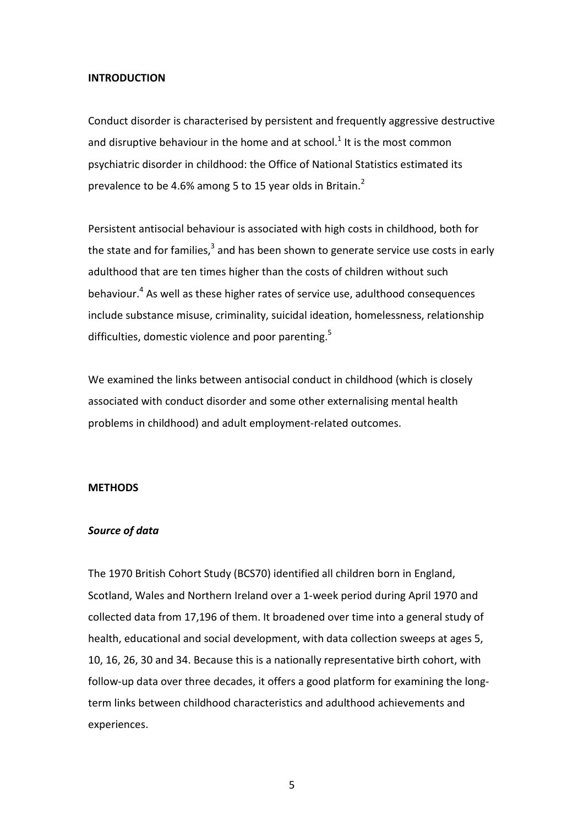#### **INTRODUCTION**

Conduct disorder is characterised by persistent and frequently aggressive destructive and disruptive behaviour in the home and at school.<sup>1</sup> It is the most common psychiatric disorder in childhood: the Office of National Statistics estimated its prevalence to be 4.6% among 5 to 15 year olds in Britain.<sup>2</sup>

Persistent antisocial behaviour is associated with high costs in childhood, both for the state and for families,<sup>3</sup> and has been shown to generate service use costs in early adulthood that are ten times higher than the costs of children without such behaviour. <sup>4</sup> As well as these higher rates of service use, adulthood consequences include substance misuse, criminality, suicidal ideation, homelessness, relationship difficulties, domestic violence and poor parenting.<sup>5</sup>

We examined the links between antisocial conduct in childhood (which is closely associated with conduct disorder and some other externalising mental health problems in childhood) and adult employment-related outcomes.

#### **METHODS**

#### *Source of data*

The 1970 British Cohort Study (BCS70) identified all children born in England, Scotland, Wales and Northern Ireland over a 1-week period during April 1970 and collected data from 17,196 of them. It broadened over time into a general study of health, educational and social development, with data collection sweeps at ages 5, 10, 16, 26, 30 and 34. Because this is a nationally representative birth cohort, with follow-up data over three decades, it offers a good platform for examining the longterm links between childhood characteristics and adulthood achievements and experiences.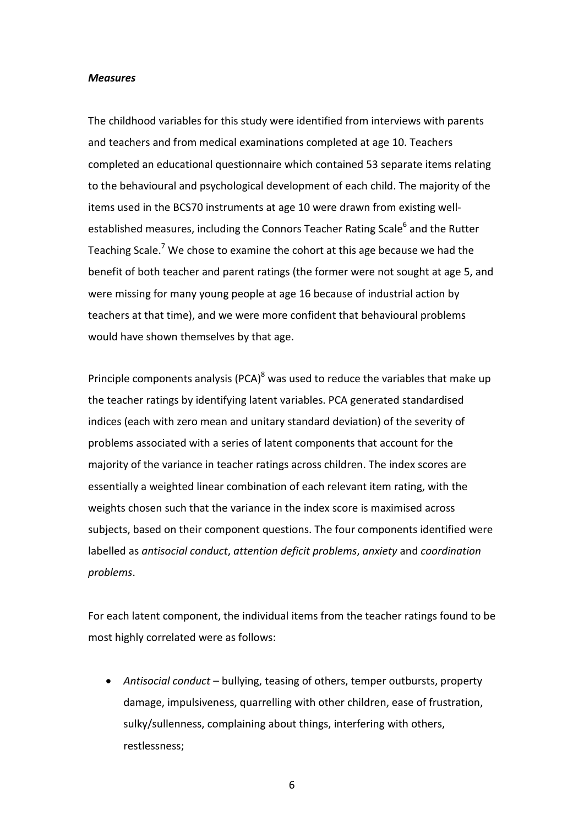#### *Measures*

The childhood variables for this study were identified from interviews with parents and teachers and from medical examinations completed at age 10. Teachers completed an educational questionnaire which contained 53 separate items relating to the behavioural and psychological development of each child. The majority of the items used in the BCS70 instruments at age 10 were drawn from existing wellestablished measures, including the Connors Teacher Rating Scale<sup>6</sup> and the Rutter Teaching Scale.<sup>7</sup> We chose to examine the cohort at this age because we had the benefit of both teacher and parent ratings (the former were not sought at age 5, and were missing for many young people at age 16 because of industrial action by teachers at that time), and we were more confident that behavioural problems would have shown themselves by that age.

Principle components analysis (PCA) $^8$  was used to reduce the variables that make up the teacher ratings by identifying latent variables. PCA generated standardised indices (each with zero mean and unitary standard deviation) of the severity of problems associated with a series of latent components that account for the majority of the variance in teacher ratings across children. The index scores are essentially a weighted linear combination of each relevant item rating, with the weights chosen such that the variance in the index score is maximised across subjects, based on their component questions. The four components identified were labelled as *antisocial conduct*, *attention deficit problems*, *anxiety* and *coordination problems*.

For each latent component, the individual items from the teacher ratings found to be most highly correlated were as follows:

• *Antisocial conduct* – bullying, teasing of others, temper outbursts, property damage, impulsiveness, quarrelling with other children, ease of frustration, sulky/sullenness, complaining about things, interfering with others, restlessness;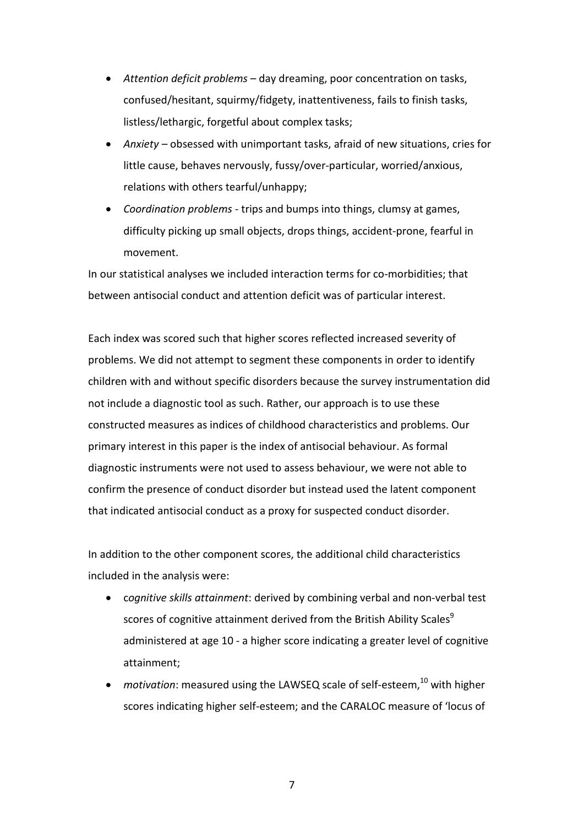- *Attention deficit problems* day dreaming, poor concentration on tasks, confused/hesitant, squirmy/fidgety, inattentiveness, fails to finish tasks, listless/lethargic, forgetful about complex tasks;
- *Anxiety* obsessed with unimportant tasks, afraid of new situations, cries for little cause, behaves nervously, fussy/over-particular, worried/anxious, relations with others tearful/unhappy;
- *Coordination problems* trips and bumps into things, clumsy at games, difficulty picking up small objects, drops things, accident-prone, fearful in movement.

In our statistical analyses we included interaction terms for co-morbidities; that between antisocial conduct and attention deficit was of particular interest.

Each index was scored such that higher scores reflected increased severity of problems. We did not attempt to segment these components in order to identify children with and without specific disorders because the survey instrumentation did not include a diagnostic tool as such. Rather, our approach is to use these constructed measures as indices of childhood characteristics and problems. Our primary interest in this paper is the index of antisocial behaviour. As formal diagnostic instruments were not used to assess behaviour, we were not able to confirm the presence of conduct disorder but instead used the latent component that indicated antisocial conduct as a proxy for suspected conduct disorder.

In addition to the other component scores, the additional child characteristics included in the analysis were:

- c*ognitive skills attainment*: derived by combining verbal and non-verbal test scores of cognitive attainment derived from the British Ability Scales<sup>9</sup> administered at age 10 - a higher score indicating a greater level of cognitive attainment;
- *motivation*: measured using the LAWSEQ scale of self-esteem, <sup>10</sup> with higher scores indicating higher self-esteem; and the CARALOC measure of 'locus of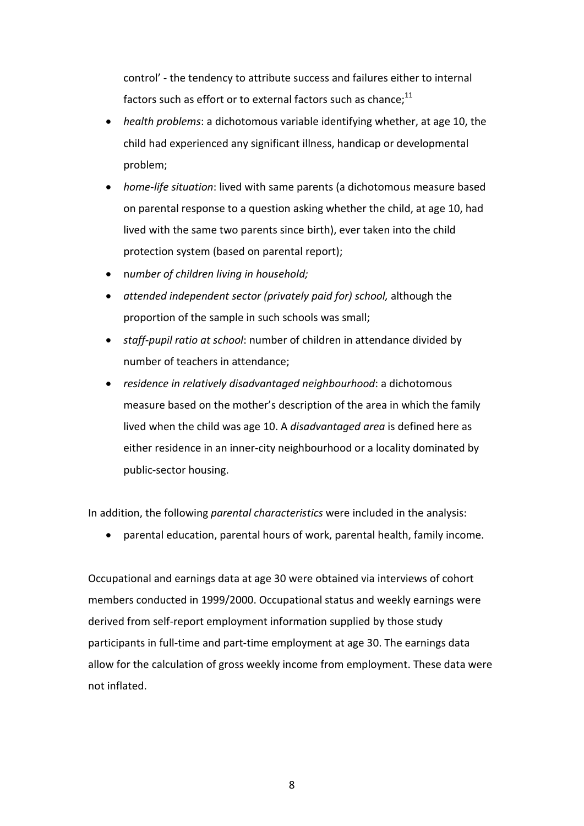control' - the tendency to attribute success and failures either to internal factors such as effort or to external factors such as chance; $^{\rm 11}$ 

- *health problems*: a dichotomous variable identifying whether, at age 10, the child had experienced any significant illness, handicap or developmental problem;
- *home-life situation*: lived with same parents (a dichotomous measure based on parental response to a question asking whether the child, at age 10, had lived with the same two parents since birth), ever taken into the child protection system (based on parental report);
- n*umber of children living in household;*
- *attended independent sector (privately paid for) school,* although the proportion of the sample in such schools was small;
- *staff-pupil ratio at school*: number of children in attendance divided by number of teachers in attendance;
- *residence in relatively disadvantaged neighbourhood*: a dichotomous measure based on the mother's description of the area in which the family lived when the child was age 10. A *disadvantaged area* is defined here as either residence in an inner-city neighbourhood or a locality dominated by public-sector housing.

In addition, the following *parental characteristics* were included in the analysis:

• parental education, parental hours of work, parental health, family income.

Occupational and earnings data at age 30 were obtained via interviews of cohort members conducted in 1999/2000. Occupational status and weekly earnings were derived from self-report employment information supplied by those study participants in full-time and part-time employment at age 30. The earnings data allow for the calculation of gross weekly income from employment. These data were not inflated.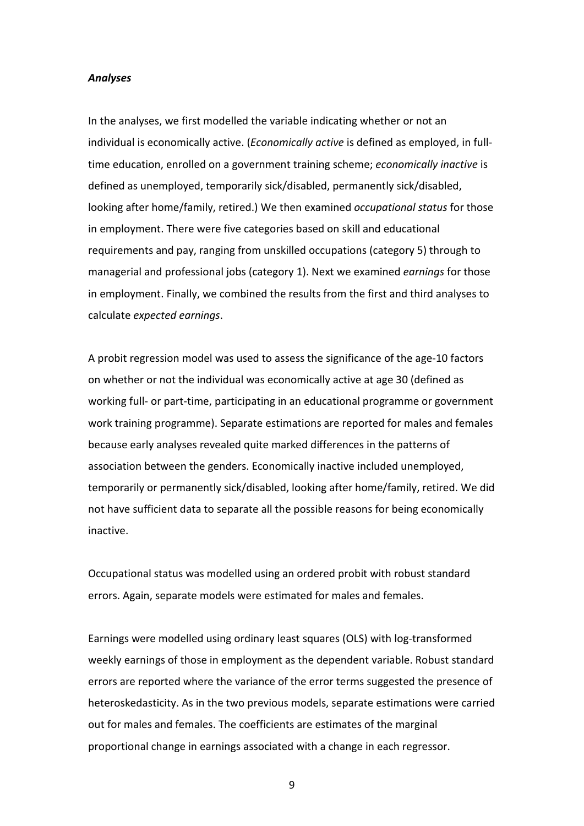#### *Analyses*

In the analyses, we first modelled the variable indicating whether or not an individual is economically active. (*Economically active* is defined as employed, in fulltime education, enrolled on a government training scheme; *economically inactive* is defined as unemployed, temporarily sick/disabled, permanently sick/disabled, looking after home/family, retired.) We then examined *occupational status* for those in employment. There were five categories based on skill and educational requirements and pay, ranging from unskilled occupations (category 5) through to managerial and professional jobs (category 1). Next we examined *earnings* for those in employment. Finally, we combined the results from the first and third analyses to calculate *expected earnings*.

A probit regression model was used to assess the significance of the age-10 factors on whether or not the individual was economically active at age 30 (defined as working full- or part-time, participating in an educational programme or government work training programme). Separate estimations are reported for males and females because early analyses revealed quite marked differences in the patterns of association between the genders. Economically inactive included unemployed, temporarily or permanently sick/disabled, looking after home/family, retired. We did not have sufficient data to separate all the possible reasons for being economically inactive.

Occupational status was modelled using an ordered probit with robust standard errors. Again, separate models were estimated for males and females.

Earnings were modelled using ordinary least squares (OLS) with log-transformed weekly earnings of those in employment as the dependent variable. Robust standard errors are reported where the variance of the error terms suggested the presence of heteroskedasticity. As in the two previous models, separate estimations were carried out for males and females. The coefficients are estimates of the marginal proportional change in earnings associated with a change in each regressor.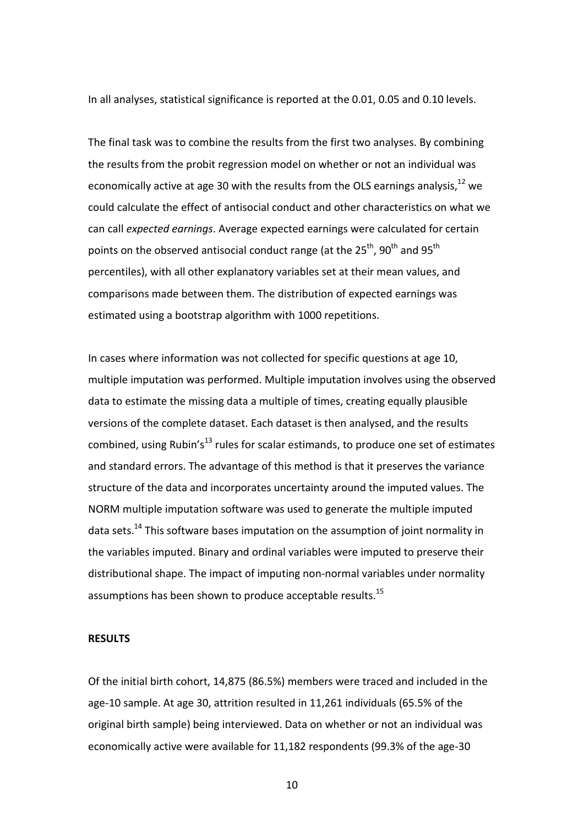In all analyses, statistical significance is reported at the 0.01, 0.05 and 0.10 levels.

The final task was to combine the results from the first two analyses. By combining the results from the probit regression model on whether or not an individual was economically active at age 30 with the results from the OLS earnings analysis,  $^{12}$  we could calculate the effect of antisocial conduct and other characteristics on what we can call *expected earnings*. Average expected earnings were calculated for certain points on the observed antisocial conduct range (at the 25<sup>th</sup>, 90<sup>th</sup> and 95<sup>th</sup> percentiles), with all other explanatory variables set at their mean values, and comparisons made between them. The distribution of expected earnings was estimated using a bootstrap algorithm with 1000 repetitions.

In cases where information was not collected for specific questions at age 10, multiple imputation was performed. Multiple imputation involves using the observed data to estimate the missing data a multiple of times, creating equally plausible versions of the complete dataset. Each dataset is then analysed, and the results combined, using Rubin's<sup>13</sup> rules for scalar estimands, to produce one set of estimates and standard errors. The advantage of this method is that it preserves the variance structure of the data and incorporates uncertainty around the imputed values. The NORM multiple imputation software was used to generate the multiple imputed data sets.<sup>14</sup> This software bases imputation on the assumption of joint normality in the variables imputed. Binary and ordinal variables were imputed to preserve their distributional shape. The impact of imputing non-normal variables under normality assumptions has been shown to produce acceptable results.<sup>15</sup>

#### **RESULTS**

Of the initial birth cohort, 14,875 (86.5%) members were traced and included in the age-10 sample. At age 30, attrition resulted in 11,261 individuals (65.5% of the original birth sample) being interviewed. Data on whether or not an individual was economically active were available for 11,182 respondents (99.3% of the age-30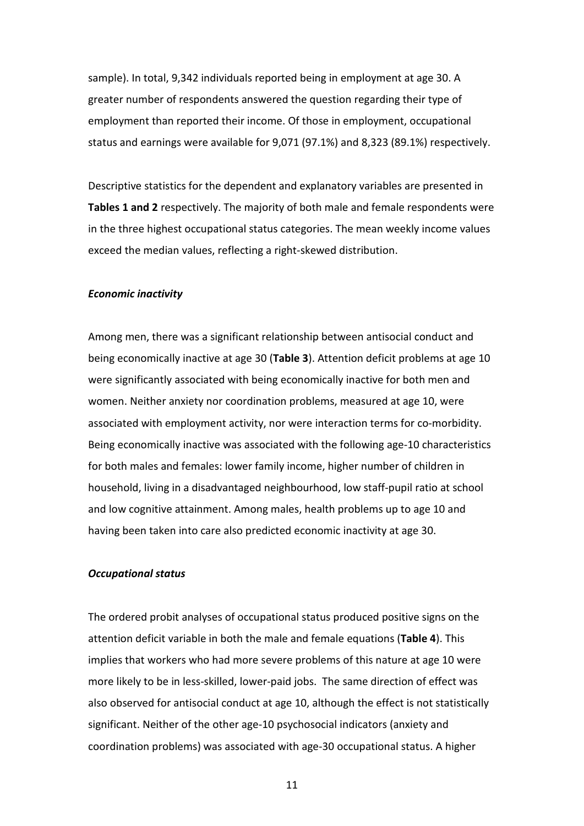sample). In total, 9,342 individuals reported being in employment at age 30. A greater number of respondents answered the question regarding their type of employment than reported their income. Of those in employment, occupational status and earnings were available for 9,071 (97.1%) and 8,323 (89.1%) respectively.

Descriptive statistics for the dependent and explanatory variables are presented in **Tables 1 and 2** respectively. The majority of both male and female respondents were in the three highest occupational status categories. The mean weekly income values exceed the median values, reflecting a right-skewed distribution.

#### *Economic inactivity*

Among men, there was a significant relationship between antisocial conduct and being economically inactive at age 30 (**Table 3**). Attention deficit problems at age 10 were significantly associated with being economically inactive for both men and women. Neither anxiety nor coordination problems, measured at age 10, were associated with employment activity, nor were interaction terms for co-morbidity. Being economically inactive was associated with the following age-10 characteristics for both males and females: lower family income, higher number of children in household, living in a disadvantaged neighbourhood, low staff-pupil ratio at school and low cognitive attainment. Among males, health problems up to age 10 and having been taken into care also predicted economic inactivity at age 30.

#### *Occupational status*

The ordered probit analyses of occupational status produced positive signs on the attention deficit variable in both the male and female equations (**Table 4**). This implies that workers who had more severe problems of this nature at age 10 were more likely to be in less-skilled, lower-paid jobs. The same direction of effect was also observed for antisocial conduct at age 10, although the effect is not statistically significant. Neither of the other age-10 psychosocial indicators (anxiety and coordination problems) was associated with age-30 occupational status. A higher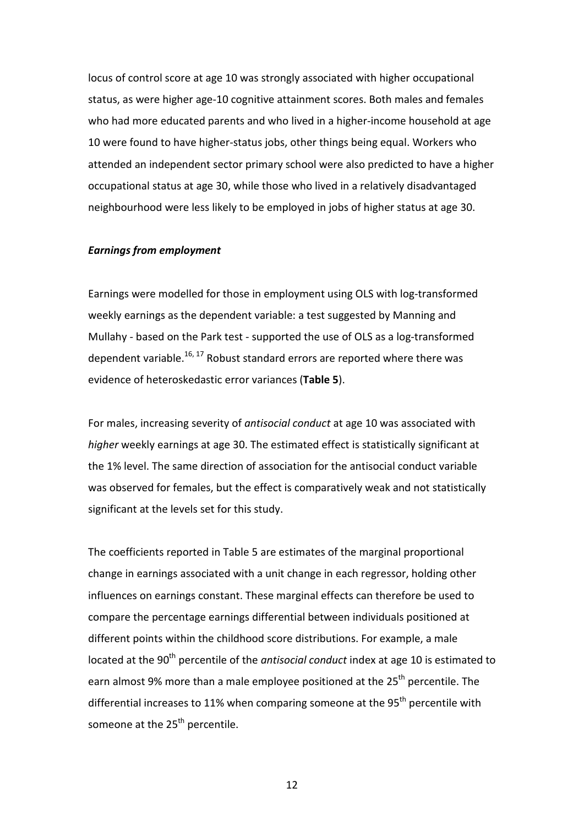locus of control score at age 10 was strongly associated with higher occupational status, as were higher age-10 cognitive attainment scores. Both males and females who had more educated parents and who lived in a higher-income household at age 10 were found to have higher-status jobs, other things being equal. Workers who attended an independent sector primary school were also predicted to have a higher occupational status at age 30, while those who lived in a relatively disadvantaged neighbourhood were less likely to be employed in jobs of higher status at age 30.

#### *Earnings from employment*

Earnings were modelled for those in employment using OLS with log-transformed weekly earnings as the dependent variable: a test suggested by Manning and Mullahy - based on the Park test - supported the use of OLS as a log-transformed dependent variable.<sup>16, 17</sup> Robust standard errors are reported where there was evidence of heteroskedastic error variances (**Table 5**).

For males, increasing severity of *antisocial conduct* at age 10 was associated with *higher* weekly earnings at age 30. The estimated effect is statistically significant at the 1% level. The same direction of association for the antisocial conduct variable was observed for females, but the effect is comparatively weak and not statistically significant at the levels set for this study.

The coefficients reported in Table 5 are estimates of the marginal proportional change in earnings associated with a unit change in each regressor, holding other influences on earnings constant. These marginal effects can therefore be used to compare the percentage earnings differential between individuals positioned at different points within the childhood score distributions. For example, a male located at the 90<sup>th</sup> percentile of the *antisocial conduct* index at age 10 is estimated to earn almost 9% more than a male employee positioned at the  $25<sup>th</sup>$  percentile. The differential increases to 11% when comparing someone at the  $95<sup>th</sup>$  percentile with someone at the 25<sup>th</sup> percentile.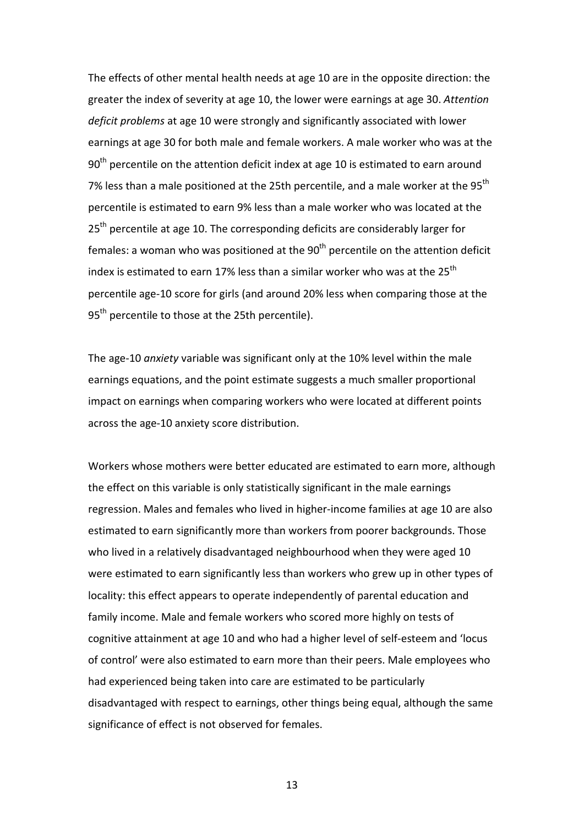The effects of other mental health needs at age 10 are in the opposite direction: the greater the index of severity at age 10, the lower were earnings at age 30. *Attention deficit problems* at age 10 were strongly and significantly associated with lower earnings at age 30 for both male and female workers. A male worker who was at the  $90<sup>th</sup>$  percentile on the attention deficit index at age 10 is estimated to earn around 7% less than a male positioned at the 25th percentile, and a male worker at the 95<sup>th</sup> percentile is estimated to earn 9% less than a male worker who was located at the  $25<sup>th</sup>$  percentile at age 10. The corresponding deficits are considerably larger for females: a woman who was positioned at the  $90<sup>th</sup>$  percentile on the attention deficit index is estimated to earn 17% less than a similar worker who was at the 25<sup>th</sup> percentile age-10 score for girls (and around 20% less when comparing those at the 95<sup>th</sup> percentile to those at the 25th percentile).

The age-10 *anxiety* variable was significant only at the 10% level within the male earnings equations, and the point estimate suggests a much smaller proportional impact on earnings when comparing workers who were located at different points across the age-10 anxiety score distribution.

Workers whose mothers were better educated are estimated to earn more, although the effect on this variable is only statistically significant in the male earnings regression. Males and females who lived in higher-income families at age 10 are also estimated to earn significantly more than workers from poorer backgrounds. Those who lived in a relatively disadvantaged neighbourhood when they were aged 10 were estimated to earn significantly less than workers who grew up in other types of locality: this effect appears to operate independently of parental education and family income. Male and female workers who scored more highly on tests of cognitive attainment at age 10 and who had a higher level of self-esteem and 'locus of control' were also estimated to earn more than their peers. Male employees who had experienced being taken into care are estimated to be particularly disadvantaged with respect to earnings, other things being equal, although the same significance of effect is not observed for females.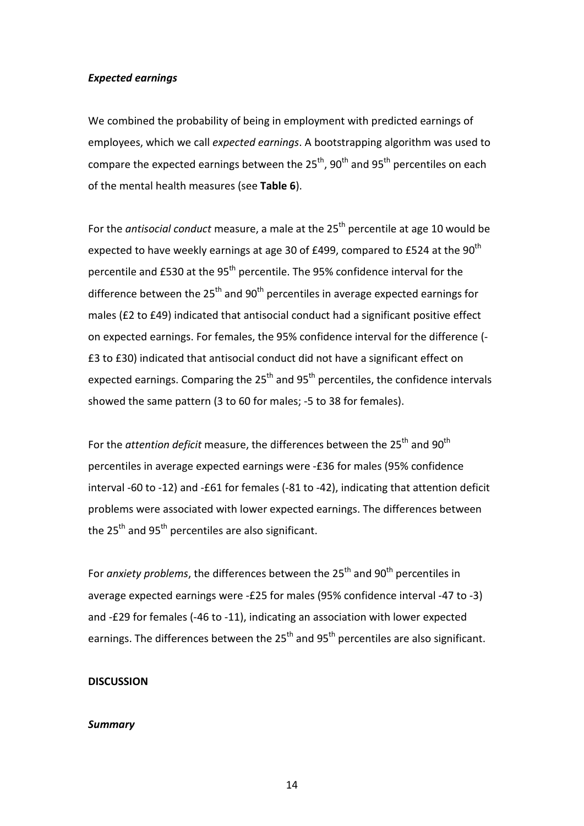#### *Expected earnings*

We combined the probability of being in employment with predicted earnings of employees, which we call *expected earnings*. A bootstrapping algorithm was used to compare the expected earnings between the  $25<sup>th</sup>$ , 90<sup>th</sup> and 95<sup>th</sup> percentiles on each of the mental health measures (see **Table 6**).

For the *antisocial conduct* measure, a male at the 25<sup>th</sup> percentile at age 10 would be expected to have weekly earnings at age 30 of £499, compared to £524 at the 90<sup>th</sup> percentile and £530 at the 95<sup>th</sup> percentile. The 95% confidence interval for the difference between the  $25<sup>th</sup>$  and  $90<sup>th</sup>$  percentiles in average expected earnings for males (£2 to £49) indicated that antisocial conduct had a significant positive effect on expected earnings. For females, the 95% confidence interval for the difference (- £3 to £30) indicated that antisocial conduct did not have a significant effect on expected earnings. Comparing the  $25<sup>th</sup>$  and  $95<sup>th</sup>$  percentiles, the confidence intervals showed the same pattern (3 to 60 for males; -5 to 38 for females).

For the *attention deficit* measure, the differences between the 25<sup>th</sup> and 90<sup>th</sup> percentiles in average expected earnings were -£36 for males (95% confidence interval -60 to -12) and -£61 for females (-81 to -42), indicating that attention deficit problems were associated with lower expected earnings. The differences between the  $25<sup>th</sup>$  and  $95<sup>th</sup>$  percentiles are also significant.

For *anxiety problems*, the differences between the 25<sup>th</sup> and 90<sup>th</sup> percentiles in average expected earnings were -£25 for males (95% confidence interval -47 to -3) and -£29 for females (-46 to -11), indicating an association with lower expected earnings. The differences between the  $25<sup>th</sup>$  and  $95<sup>th</sup>$  percentiles are also significant.

#### **DISCUSSION**

#### *Summary*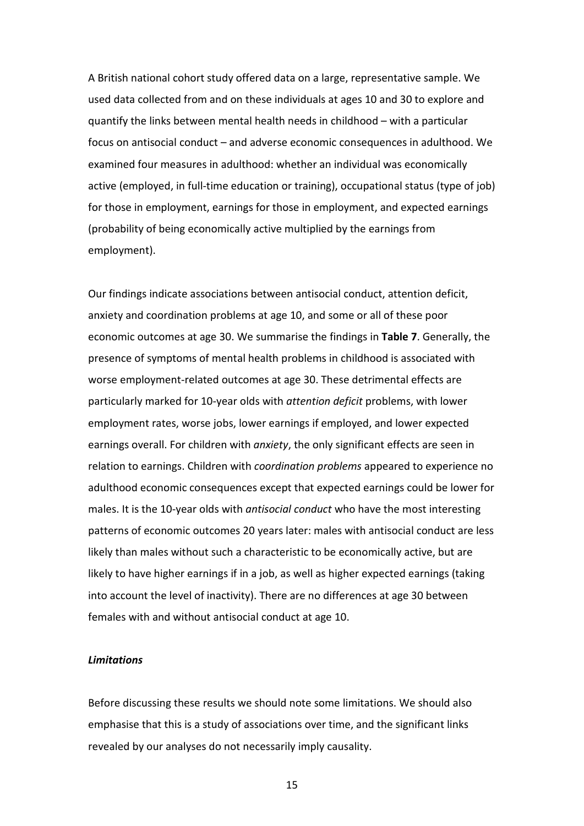A British national cohort study offered data on a large, representative sample. We used data collected from and on these individuals at ages 10 and 30 to explore and quantify the links between mental health needs in childhood – with a particular focus on antisocial conduct – and adverse economic consequences in adulthood. We examined four measures in adulthood: whether an individual was economically active (employed, in full-time education or training), occupational status (type of job) for those in employment, earnings for those in employment, and expected earnings (probability of being economically active multiplied by the earnings from employment).

Our findings indicate associations between antisocial conduct, attention deficit, anxiety and coordination problems at age 10, and some or all of these poor economic outcomes at age 30. We summarise the findings in **Table 7**. Generally, the presence of symptoms of mental health problems in childhood is associated with worse employment-related outcomes at age 30. These detrimental effects are particularly marked for 10-year olds with *attention deficit* problems, with lower employment rates, worse jobs, lower earnings if employed, and lower expected earnings overall. For children with *anxiety*, the only significant effects are seen in relation to earnings. Children with *coordination problems* appeared to experience no adulthood economic consequences except that expected earnings could be lower for males. It is the 10-year olds with *antisocial conduct* who have the most interesting patterns of economic outcomes 20 years later: males with antisocial conduct are less likely than males without such a characteristic to be economically active, but are likely to have higher earnings if in a job, as well as higher expected earnings (taking into account the level of inactivity). There are no differences at age 30 between females with and without antisocial conduct at age 10.

#### *Limitations*

Before discussing these results we should note some limitations. We should also emphasise that this is a study of associations over time, and the significant links revealed by our analyses do not necessarily imply causality.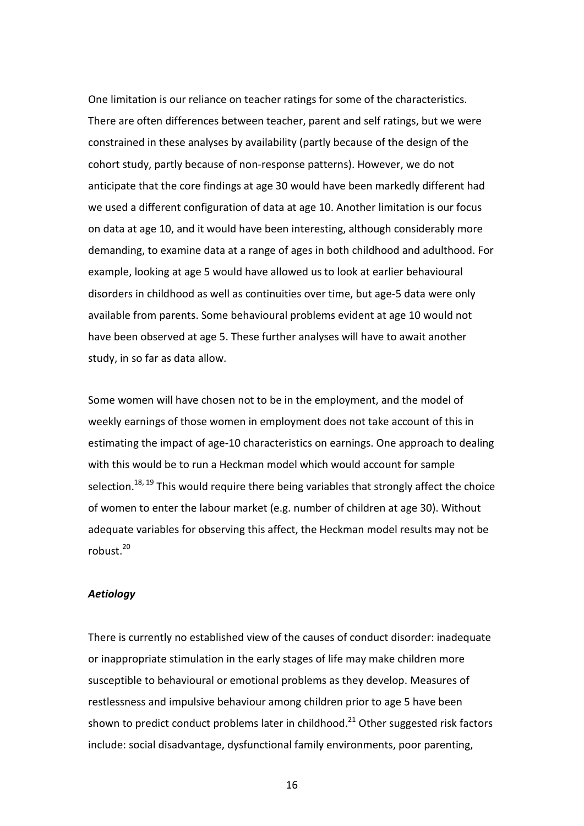One limitation is our reliance on teacher ratings for some of the characteristics. There are often differences between teacher, parent and self ratings, but we were constrained in these analyses by availability (partly because of the design of the cohort study, partly because of non-response patterns). However, we do not anticipate that the core findings at age 30 would have been markedly different had we used a different configuration of data at age 10. Another limitation is our focus on data at age 10, and it would have been interesting, although considerably more demanding, to examine data at a range of ages in both childhood and adulthood. For example, looking at age 5 would have allowed us to look at earlier behavioural disorders in childhood as well as continuities over time, but age-5 data were only available from parents. Some behavioural problems evident at age 10 would not have been observed at age 5. These further analyses will have to await another study, in so far as data allow.

Some women will have chosen not to be in the employment, and the model of weekly earnings of those women in employment does not take account of this in estimating the impact of age-10 characteristics on earnings. One approach to dealing with this would be to run a Heckman model which would account for sample selection.<sup>18, 19</sup> This would require there being variables that strongly affect the choice of women to enter the labour market (e.g. number of children at age 30). Without adequate variables for observing this affect, the Heckman model results may not be robust. 20

#### *Aetiology*

There is currently no established view of the causes of conduct disorder: inadequate or inappropriate stimulation in the early stages of life may make children more susceptible to behavioural or emotional problems as they develop. Measures of restlessness and impulsive behaviour among children prior to age 5 have been shown to predict conduct problems later in childhood.<sup>21</sup> Other suggested risk factors include: social disadvantage, dysfunctional family environments, poor parenting,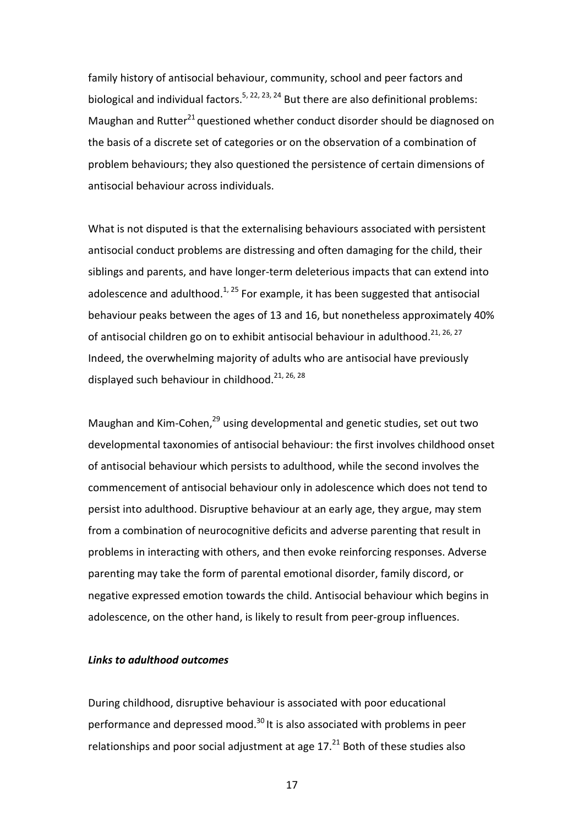family history of antisocial behaviour, community, school and peer factors and biological and individual factors.<sup>5, 22, 23, 24</sup> But there are also definitional problems: Maughan and Rutter $^{21}$  questioned whether conduct disorder should be diagnosed on the basis of a discrete set of categories or on the observation of a combination of problem behaviours; they also questioned the persistence of certain dimensions of antisocial behaviour across individuals.

What is not disputed is that the externalising behaviours associated with persistent antisocial conduct problems are distressing and often damaging for the child, their siblings and parents, and have longer-term deleterious impacts that can extend into adolescence and adulthood.<sup>1, 25</sup> For example, it has been suggested that antisocial behaviour peaks between the ages of 13 and 16, but nonetheless approximately 40% of antisocial children go on to exhibit antisocial behaviour in adulthood.<sup>21, 26, 27</sup> Indeed, the overwhelming majority of adults who are antisocial have previously displayed such behaviour in childhood.<sup>21, 26, 28</sup>

Maughan and Kim-Cohen,<sup>29</sup> using developmental and genetic studies, set out two developmental taxonomies of antisocial behaviour: the first involves childhood onset of antisocial behaviour which persists to adulthood, while the second involves the commencement of antisocial behaviour only in adolescence which does not tend to persist into adulthood. Disruptive behaviour at an early age, they argue, may stem from a combination of neurocognitive deficits and adverse parenting that result in problems in interacting with others, and then evoke reinforcing responses. Adverse parenting may take the form of parental emotional disorder, family discord, or negative expressed emotion towards the child. Antisocial behaviour which begins in adolescence, on the other hand, is likely to result from peer-group influences.

#### *Links to adulthood outcomes*

During childhood, disruptive behaviour is associated with poor educational performance and depressed mood.<sup>30</sup> It is also associated with problems in peer relationships and poor social adjustment at age  $17.^{21}$  Both of these studies also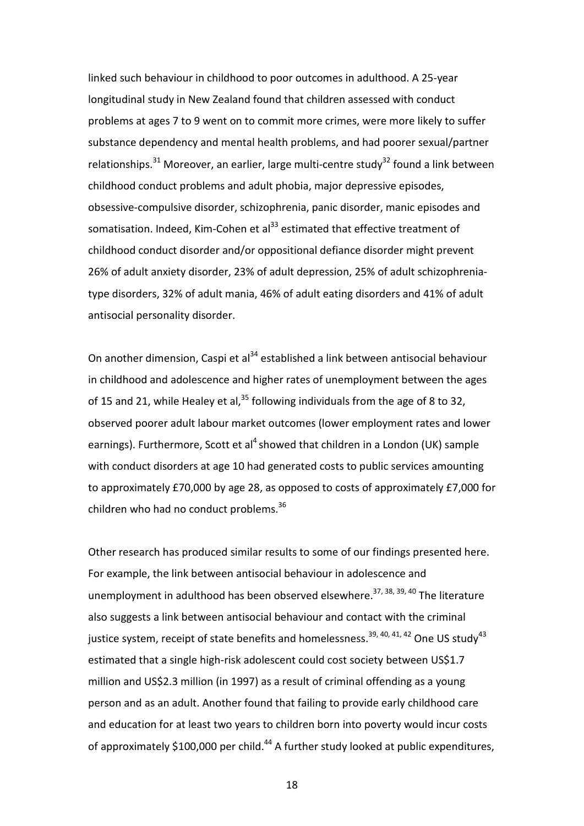linked such behaviour in childhood to poor outcomes in adulthood. A 25-year longitudinal study in New Zealand found that children assessed with conduct problems at ages 7 to 9 went on to commit more crimes, were more likely to suffer substance dependency and mental health problems, and had poorer sexual/partner relationships.<sup>31</sup> Moreover, an earlier, large multi-centre study<sup>32</sup> found a link between childhood conduct problems and adult phobia, major depressive episodes, obsessive-compulsive disorder, schizophrenia, panic disorder, manic episodes and somatisation. Indeed, Kim-Cohen et al<sup>33</sup> estimated that effective treatment of childhood conduct disorder and/or oppositional defiance disorder might prevent 26% of adult anxiety disorder, 23% of adult depression, 25% of adult schizophreniatype disorders, 32% of adult mania, 46% of adult eating disorders and 41% of adult antisocial personality disorder.

On another dimension, Caspi et al $34$  established a link between antisocial behaviour in childhood and adolescence and higher rates of unemployment between the ages of 15 and 21, while Healey et al, $35$  following individuals from the age of 8 to 32, observed poorer adult labour market outcomes (lower employment rates and lower earnings). Furthermore, Scott et al<sup>4</sup> showed that children in a London (UK) sample with conduct disorders at age 10 had generated costs to public services amounting to approximately £70,000 by age 28, as opposed to costs of approximately £7,000 for children who had no conduct problems.<sup>36</sup>

Other research has produced similar results to some of our findings presented here. For example, the link between antisocial behaviour in adolescence and unemployment in adulthood has been observed elsewhere.<sup>37, 38, 39, 40</sup> The literature also suggests a link between antisocial behaviour and contact with the criminal justice system, receipt of state benefits and homelessness.<sup>39, 40, 41, 42</sup> One US study<sup>43</sup> estimated that a single high-risk adolescent could cost society between US\$1.7 million and US\$2.3 million (in 1997) as a result of criminal offending as a young person and as an adult. Another found that failing to provide early childhood care and education for at least two years to children born into poverty would incur costs of approximately \$100,000 per child.<sup>44</sup> A further study looked at public expenditures,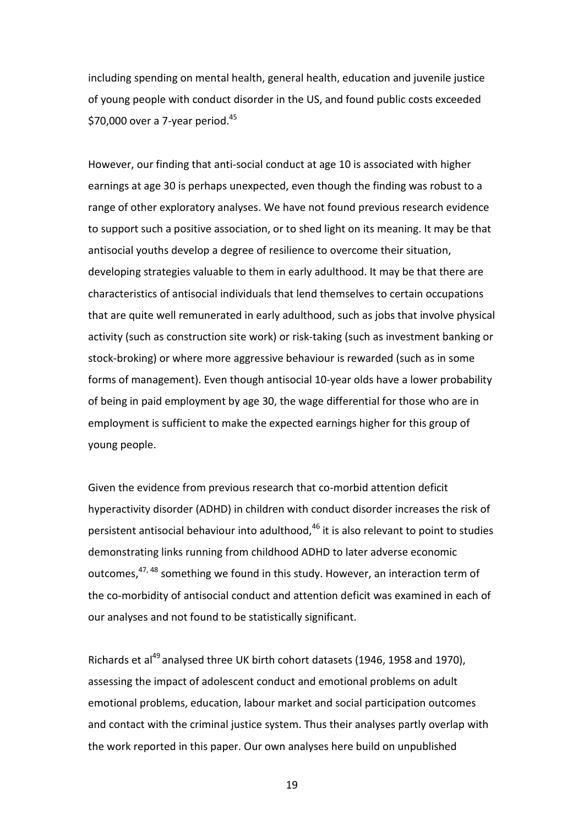including spending on mental health, general health, education and juvenile justice of young people with conduct disorder in the US, and found public costs exceeded \$70,000 over a 7-year period. $45$ 

However, our finding that anti-social conduct at age 10 is associated with higher earnings at age 30 is perhaps unexpected, even though the finding was robust to a range of other exploratory analyses. We have not found previous research evidence to support such a positive association, or to shed light on its meaning. It may be that antisocial youths develop a degree of resilience to overcome their situation, developing strategies valuable to them in early adulthood. It may be that there are characteristics of antisocial individuals that lend themselves to certain occupations that are quite well remunerated in early adulthood, such as jobs that involve physical activity (such as construction site work) or risk-taking (such as investment banking or stock-broking) or where more aggressive behaviour is rewarded (such as in some forms of management). Even though antisocial 10-year olds have a lower probability of being in paid employment by age 30, the wage differential for those who are in employment is sufficient to make the expected earnings higher for this group of young people.

Given the evidence from previous research that co-morbid attention deficit hyperactivity disorder (ADHD) in children with conduct disorder increases the risk of persistent antisocial behaviour into adulthood,<sup>46</sup> it is also relevant to point to studies demonstrating links running from childhood ADHD to later adverse economic outcomes,<sup>47,48</sup> something we found in this study. However, an interaction term of the co-morbidity of antisocial conduct and attention deficit was examined in each of our analyses and not found to be statistically significant.

Richards et al<sup>49</sup> analysed three UK birth cohort datasets (1946, 1958 and 1970), assessing the impact of adolescent conduct and emotional problems on adult emotional problems, education, labour market and social participation outcomes and contact with the criminal justice system. Thus their analyses partly overlap with the work reported in this paper. Our own analyses here build on unpublished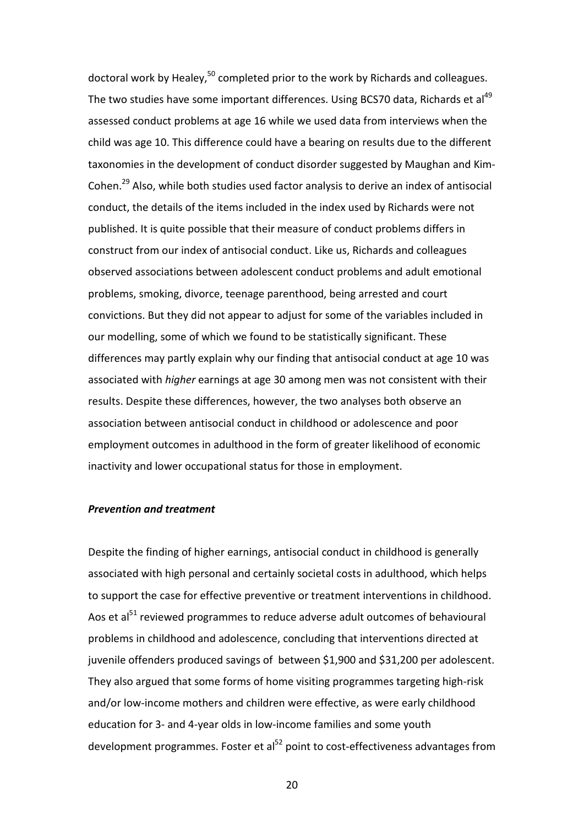doctoral work by Healey,<sup>50</sup> completed prior to the work by Richards and colleagues. The two studies have some important differences. Using BCS70 data, Richards et al<sup>49</sup> assessed conduct problems at age 16 while we used data from interviews when the child was age 10. This difference could have a bearing on results due to the different taxonomies in the development of conduct disorder suggested by Maughan and Kim-Cohen.29 Also, while both studies used factor analysis to derive an index of antisocial conduct, the details of the items included in the index used by Richards were not published. It is quite possible that their measure of conduct problems differs in construct from our index of antisocial conduct. Like us, Richards and colleagues observed associations between adolescent conduct problems and adult emotional problems, smoking, divorce, teenage parenthood, being arrested and court convictions. But they did not appear to adjust for some of the variables included in our modelling, some of which we found to be statistically significant. These differences may partly explain why our finding that antisocial conduct at age 10 was associated with *higher* earnings at age 30 among men was not consistent with their results. Despite these differences, however, the two analyses both observe an association between antisocial conduct in childhood or adolescence and poor employment outcomes in adulthood in the form of greater likelihood of economic inactivity and lower occupational status for those in employment.

#### *Prevention and treatment*

Despite the finding of higher earnings, antisocial conduct in childhood is generally associated with high personal and certainly societal costs in adulthood, which helps to support the case for effective preventive or treatment interventions in childhood. Aos et al $51$  reviewed programmes to reduce adverse adult outcomes of behavioural problems in childhood and adolescence, concluding that interventions directed at juvenile offenders produced savings of between \$1,900 and \$31,200 per adolescent. They also argued that some forms of home visiting programmes targeting high-risk and/or low-income mothers and children were effective, as were early childhood education for 3- and 4-year olds in low-income families and some youth development programmes. Foster et al $^{52}$  point to cost-effectiveness advantages from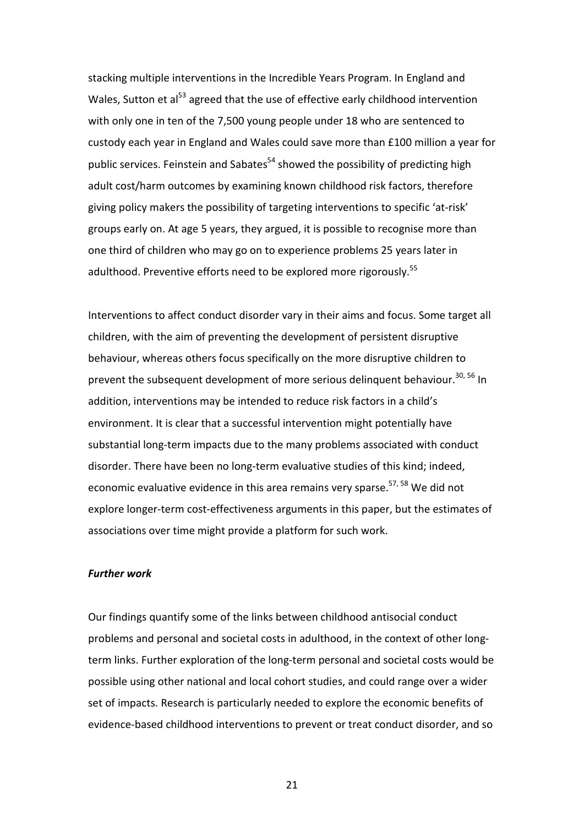stacking multiple interventions in the Incredible Years Program. In England and Wales. Sutton et al<sup>53</sup> agreed that the use of effective early childhood intervention with only one in ten of the 7,500 young people under 18 who are sentenced to custody each year in England and Wales could save more than £100 million a year for public services. Feinstein and Sabates<sup>54</sup> showed the possibility of predicting high adult cost/harm outcomes by examining known childhood risk factors, therefore giving policy makers the possibility of targeting interventions to specific 'at-risk' groups early on. At age 5 years, they argued, it is possible to recognise more than one third of children who may go on to experience problems 25 years later in adulthood. Preventive efforts need to be explored more rigorously.<sup>55</sup>

Interventions to affect conduct disorder vary in their aims and focus. Some target all children, with the aim of preventing the development of persistent disruptive behaviour, whereas others focus specifically on the more disruptive children to prevent the subsequent development of more serious delinquent behaviour.<sup>30, 56</sup> In addition, interventions may be intended to reduce risk factors in a child's environment. It is clear that a successful intervention might potentially have substantial long-term impacts due to the many problems associated with conduct disorder. There have been no long-term evaluative studies of this kind; indeed, economic evaluative evidence in this area remains very sparse.<sup>57, 58</sup> We did not explore longer-term cost-effectiveness arguments in this paper, but the estimates of associations over time might provide a platform for such work.

#### *Further work*

Our findings quantify some of the links between childhood antisocial conduct problems and personal and societal costs in adulthood, in the context of other longterm links. Further exploration of the long-term personal and societal costs would be possible using other national and local cohort studies, and could range over a wider set of impacts. Research is particularly needed to explore the economic benefits of evidence-based childhood interventions to prevent or treat conduct disorder, and so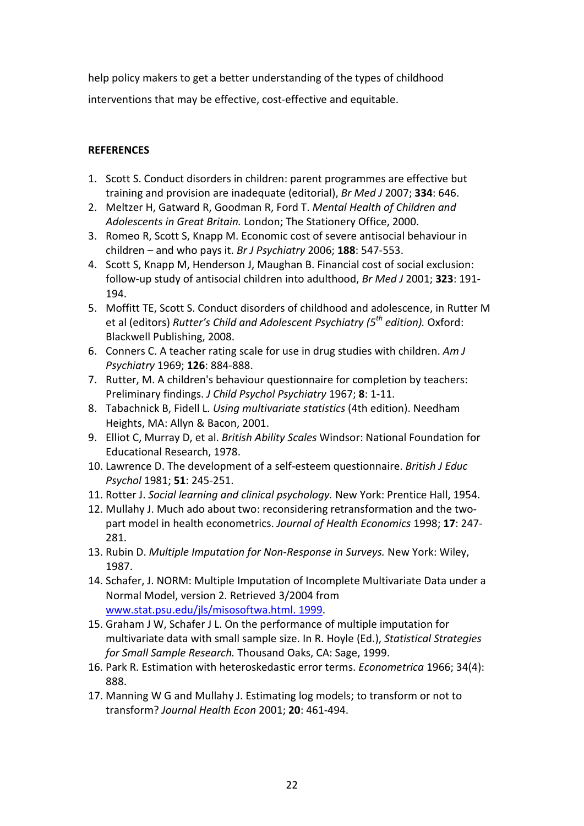help policy makers to get a better understanding of the types of childhood interventions that may be effective, cost-effective and equitable.

### **REFERENCES**

- 1. Scott S. Conduct disorders in children: parent programmes are effective but training and provision are inadequate (editorial), *Br Med J* 2007; **334**: 646.
- 2. Meltzer H, Gatward R, Goodman R, Ford T. *Mental Health of Children and Adolescents in Great Britain.* London; The Stationery Office, 2000.
- 3. Romeo R, Scott S, Knapp M. Economic cost of severe antisocial behaviour in children – and who pays it. *Br J Psychiatry* 2006; **188**: 547-553.
- 4. Scott S, Knapp M, Henderson J, Maughan B. Financial cost of social exclusion: follow-up study of antisocial children into adulthood, *Br Med J* 2001; **323**: 191- 194.
- 5. Moffitt TE, Scott S. Conduct disorders of childhood and adolescence, in Rutter M et al (editors) *Rutter's Child and Adolescent Psychiatry (5th edition).* Oxford: Blackwell Publishing, 2008.
- 6. Conners C. A teacher rating scale for use in drug studies with children. *Am J Psychiatry* 1969; **126**: 884-888.
- 7. Rutter, M. A children's behaviour questionnaire for completion by teachers: Preliminary findings. *J Child Psychol Psychiatry* 1967; **8**: 1-11.
- 8. Tabachnick B, Fidell L. *Using multivariate statistics* (4th edition). Needham Heights, MA: Allyn & Bacon, 2001.
- 9. Elliot C, Murray D, et al. *British Ability Scales* Windsor: National Foundation for Educational Research, 1978.
- 10. Lawrence D. The development of a self-esteem questionnaire. *British J Educ Psychol* 1981; **51**: 245-251.
- 11. Rotter J. *Social learning and clinical psychology.* New York: Prentice Hall, 1954.
- 12. Mullahy J. Much ado about two: reconsidering retransformation and the twopart model in health econometrics. *Journal of Health Economics* 1998; **17**: 247- 281.
- 13. Rubin D. *Multiple Imputation for Non-Response in Surveys.* New York: Wiley, 1987.
- 14. Schafer, J. NORM: Multiple Imputation of Incomplete Multivariate Data under a Normal Model, version 2. Retrieved 3/2004 from [www.stat.psu.edu/jls/misosoftwa.html. 1999.](http://www.stat.psu.edu/jls/misosoftwa.html.%201999)
- 15. Graham J W, Schafer J L. On the performance of multiple imputation for multivariate data with small sample size. In R. Hoyle (Ed.), *Statistical Strategies for Small Sample Research.* Thousand Oaks, CA: Sage, 1999.
- 16. Park R. Estimation with heteroskedastic error terms. *Econometrica* 1966; 34(4): 888.
- 17. Manning W G and Mullahy J. Estimating log models; to transform or not to transform? *Journal Health Econ* 2001; **20**: 461-494.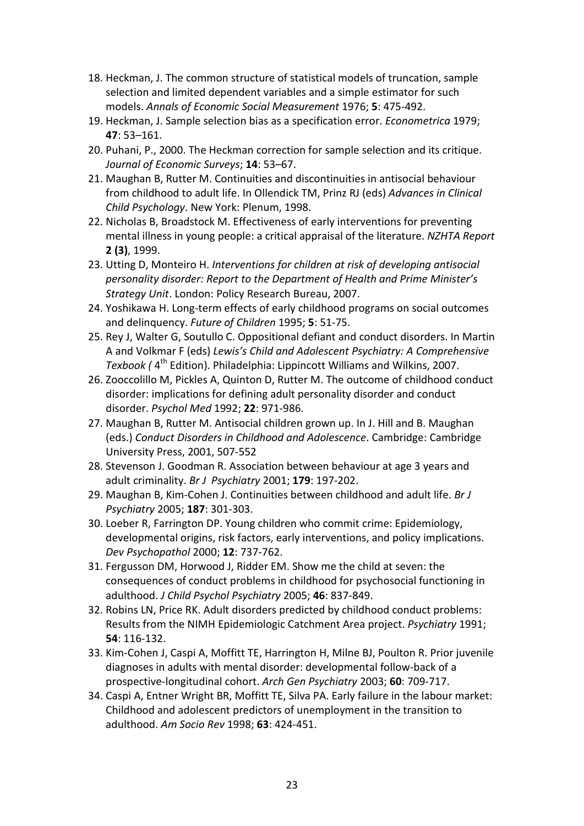- 18. Heckman, J. The common structure of statistical models of truncation, sample selection and limited dependent variables and a simple estimator for such models. *Annals of Economic Social Measurement* 1976; **5**: 475-492.
- 19. Heckman, J. Sample selection bias as a specification error. *Econometrica* 1979; **47**: 53–161.
- 20. Puhani, P., 2000. The Heckman correction for sample selection and its critique. *Journal of Economic Surveys*; **14**: 53–67.
- 21. Maughan B, Rutter M. Continuities and discontinuities in antisocial behaviour from childhood to adult life. In Ollendick TM, Prinz RJ (eds) *Advances in Clinical Child Psychology*. New York: Plenum, 1998.
- 22. Nicholas B, Broadstock M. Effectiveness of early interventions for preventing mental illness in young people: a critical appraisal of the literature. *NZHTA Report*  **2 (3)**, 1999.
- 23. Utting D, Monteiro H. *Interventions for children at risk of developing antisocial personality disorder: Report to the Department of Health and Prime Minister's Strategy Unit*. London: Policy Research Bureau, 2007.
- 24. Yoshikawa H. Long-term effects of early childhood programs on social outcomes and delinquency. *Future of Children* 1995; **5**: 51-75.
- 25. Rey J, Walter G, Soutullo C. Oppositional defiant and conduct disorders. In Martin A and Volkmar F (eds) *Lewis's Child and Adolescent Psychiatry: A Comprehensive Texbook (* 4th Edition). Philadelphia: Lippincott Williams and Wilkins, 2007.
- 26. Zooccolillo M, Pickles A, Quinton D, Rutter M. The outcome of childhood conduct disorder: implications for defining adult personality disorder and conduct disorder. *Psychol Med* 1992; **22**: 971-986.
- 27. Maughan B, Rutter M. Antisocial children grown up. In J. Hill and B. Maughan (eds.) *Conduct Disorders in Childhood and Adolescence*. Cambridge: Cambridge University Press, 2001, 507-552
- 28. Stevenson J. Goodman R. Association between behaviour at age 3 years and adult criminality. *Br J Psychiatry* 2001; **179**: 197-202.
- 29. Maughan B, Kim-Cohen J. Continuities between childhood and adult life. *Br J Psychiatry* 2005; **187**: 301-303.
- 30. Loeber R, Farrington DP. Young children who commit crime: Epidemiology, developmental origins, risk factors, early interventions, and policy implications. *Dev Psychopathol* 2000; **12**: 737-762.
- 31. Fergusson DM, Horwood J, Ridder EM. Show me the child at seven: the consequences of conduct problems in childhood for psychosocial functioning in adulthood. *J Child Psychol Psychiatry* 2005; **46**: 837-849.
- 32. Robins LN, Price RK. Adult disorders predicted by childhood conduct problems: Results from the NIMH Epidemiologic Catchment Area project. *Psychiatry* 1991; **54**: 116-132.
- 33. Kim-Cohen J, Caspi A, Moffitt TE, Harrington H, Milne BJ, Poulton R. Prior juvenile diagnoses in adults with mental disorder: developmental follow-back of a prospective-longitudinal cohort. *Arch Gen Psychiatry* 2003; **60**: 709-717.
- 34. Caspi A, Entner Wright BR, Moffitt TE, Silva PA. Early failure in the labour market: Childhood and adolescent predictors of unemployment in the transition to adulthood. *Am Socio Rev* 1998; **63**: 424-451.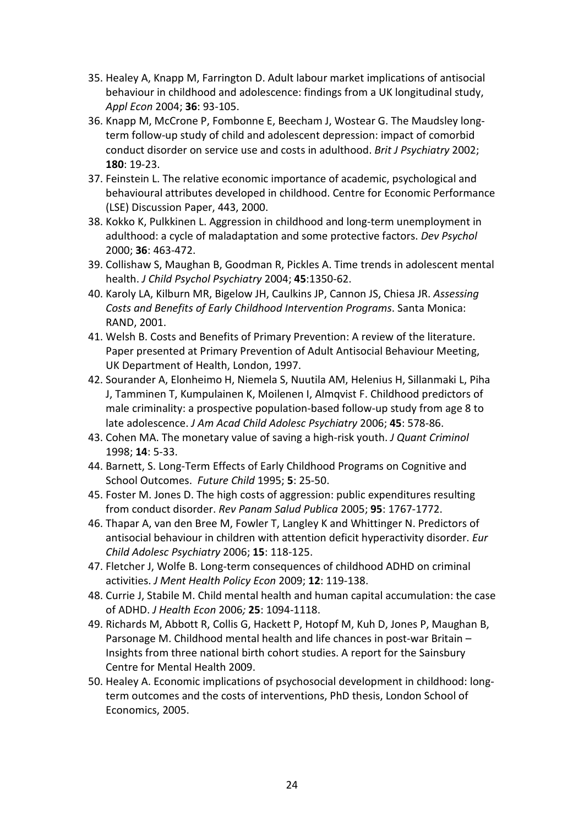- 35. Healey A, Knapp M, Farrington D. Adult labour market implications of antisocial behaviour in childhood and adolescence: findings from a UK longitudinal study, *Appl Econ* 2004; **36**: 93-105.
- 36. Knapp M, McCrone P, Fombonne E, Beecham J, Wostear G. The Maudsley longterm follow-up study of child and adolescent depression: impact of comorbid conduct disorder on service use and costs in adulthood. *Brit J Psychiatry* 2002; **180**: 19-23.
- 37. Feinstein L. The relative economic importance of academic, psychological and behavioural attributes developed in childhood. Centre for Economic Performance (LSE) Discussion Paper, 443, 2000.
- 38. Kokko K, Pulkkinen L. Aggression in childhood and long-term unemployment in adulthood: a cycle of maladaptation and some protective factors. *Dev Psychol*  2000; **36**: 463-472.
- 39. Collishaw S, Maughan B, Goodman R, Pickles A. Time trends in adolescent mental health. *J Child Psychol Psychiatry* 2004; **45**:1350-62.
- 40. Karoly LA, Kilburn MR, Bigelow JH, Caulkins JP, Cannon JS, Chiesa JR. *Assessing Costs and Benefits of Early Childhood Intervention Programs*. Santa Monica: RAND, 2001.
- 41. Welsh B. Costs and Benefits of Primary Prevention: A review of the literature. Paper presented at Primary Prevention of Adult Antisocial Behaviour Meeting, UK Department of Health, London, 1997.
- 42. Sourander A, Elonheimo H, Niemela S, Nuutila AM, Helenius H, Sillanmaki L, Piha J, Tamminen T, Kumpulainen K, Moilenen I, Almqvist F[. Childhood predictors of](http://www.ncbi.nlm.nih.gov/pubmed/16670652?ordinalpos=19&itool=EntrezSystem2.PEntrez.Pubmed.Pubmed_ResultsPanel.Pubmed_DefaultReportPanel.Pubmed_RVDocSum)  [male criminality: a prospective population-based follow-up study from age 8 to](http://www.ncbi.nlm.nih.gov/pubmed/16670652?ordinalpos=19&itool=EntrezSystem2.PEntrez.Pubmed.Pubmed_ResultsPanel.Pubmed_DefaultReportPanel.Pubmed_RVDocSum)  [late adolescence.](http://www.ncbi.nlm.nih.gov/pubmed/16670652?ordinalpos=19&itool=EntrezSystem2.PEntrez.Pubmed.Pubmed_ResultsPanel.Pubmed_DefaultReportPanel.Pubmed_RVDocSum) *J Am Acad Child Adolesc Psychiatry* 2006; **45**: 578-86.
- 43. Cohen MA. The monetary value of saving a high-risk youth. *J Quant Criminol* 1998; **14**: 5-33.
- 44. Barnett, S. Long-Term Effects of Early Childhood Programs on Cognitive and School Outcomes. *Future Child* 1995; **5**: 25-50.
- 45. Foster M. Jones D. The high costs of aggression: public expenditures resulting from conduct disorder. *Rev Panam Salud Publica* 2005; **95**: 1767-1772.
- 46. Thapar A, van den Bree M, Fowler T, Langley K and Whittinger N. Predictors of antisocial behaviour in children with attention deficit hyperactivity disorder. *Eur Child Adolesc Psychiatry* 2006; **15**: 118-125.
- 47. Fletcher J, Wolfe B. Long-term consequences of childhood ADHD on criminal activities. *J Ment Health Policy Econ* 2009; **12**: 119-138.
- 48. Currie J, Stabile M. Child mental health and human capital accumulation: the case of ADHD. *J Health Econ* 2006*;* **25**: 1094-1118.
- 49. Richards M, Abbott R, Collis G, Hackett P, Hotopf M, Kuh D, Jones P, Maughan B, Parsonage M. Childhood mental health and life chances in post-war Britain – Insights from three national birth cohort studies. A report for the Sainsbury Centre for Mental Health 2009.
- 50. Healey A. Economic implications of psychosocial development in childhood: longterm outcomes and the costs of interventions, PhD thesis, London School of Economics, 2005.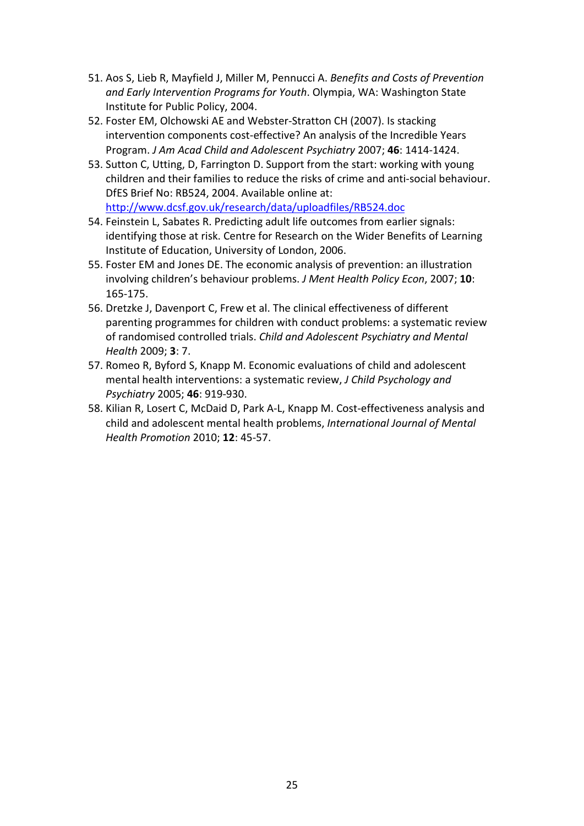- 51. Aos S, Lieb R, Mayfield J, Miller M, Pennucci A. *Benefits and Costs of Prevention and Early Intervention Programs for Youth*. Olympia, WA: Washington State Institute for Public Policy, 2004.
- 52. Foster EM, Olchowski AE and Webster-Stratton CH (2007). Is stacking intervention components cost-effective? An analysis of the Incredible Years Program. *J Am Acad Child and Adolescent Psychiatry* 2007; **46**: 1414-1424.
- 53. Sutton C, Utting, D, Farrington D. Support from the start: working with young children and their families to reduce the risks of crime and anti-social behaviour. DfES Brief No: RB524, 2004. Available online at: <http://www.dcsf.gov.uk/research/data/uploadfiles/RB524.doc>
- 54. Feinstein L, Sabates R. Predicting adult life outcomes from earlier signals: identifying those at risk. Centre for Research on the Wider Benefits of Learning Institute of Education, University of London, 2006.
- 55. Foster EM and Jones DE. The economic analysis of prevention: an illustration involving children's behaviour problems. *J Ment Health Policy Econ*, 2007; **10**: 165-175.
- 56. Dretzke J, Davenport C, Frew et al. The clinical effectiveness of different parenting programmes for children with conduct problems: a systematic review of randomised controlled trials. *Child and Adolescent Psychiatry and Mental Health* 2009; **3**: 7.
- 57. Romeo R, Byford S, Knapp M. Economic evaluations of child and adolescent mental health interventions: a systematic review, *J Child Psychology and Psychiatry* 2005; **46**: 919-930.
- 58. Kilian R, Losert C, McDaid D, Park A-L, Knapp M. Cost-effectiveness analysis and child and adolescent mental health problems, *International Journal of Mental Health Promotion* 2010; **12**: 45-57.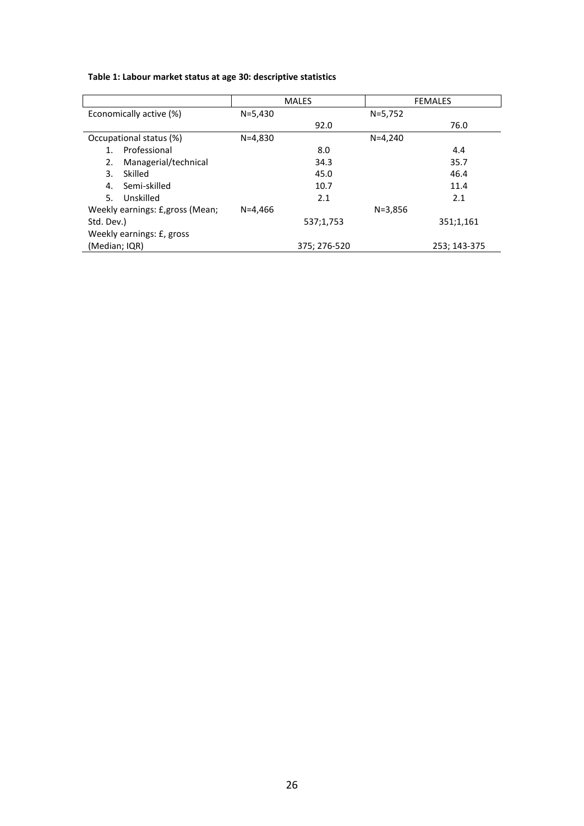| Table 1: Labour market status at age 30: descriptive statistics |  |
|-----------------------------------------------------------------|--|
|-----------------------------------------------------------------|--|

|                                  |             | <b>MALES</b> |             | <b>FEMALES</b> |
|----------------------------------|-------------|--------------|-------------|----------------|
| Economically active (%)          | $N = 5,430$ |              | $N = 5,752$ |                |
|                                  |             | 92.0         |             | 76.0           |
| Occupational status (%)          | $N = 4,830$ |              | $N = 4.240$ |                |
| Professional                     |             | 8.0          |             | 4.4            |
| Managerial/technical<br>2.       |             | 34.3         |             | 35.7           |
| Skilled<br>3.                    |             | 45.0         |             | 46.4           |
| Semi-skilled<br>4.               |             | 10.7         |             | 11.4           |
| 5.<br>Unskilled                  |             | 2.1          |             | 2.1            |
| Weekly earnings: £, gross (Mean; | $N = 4.466$ |              | $N = 3,856$ |                |
| Std. Dev.)                       |             | 537;1,753    |             | 351;1,161      |
| Weekly earnings: £, gross        |             |              |             |                |
| (Median; IQR)                    |             | 375; 276-520 |             | 253; 143-375   |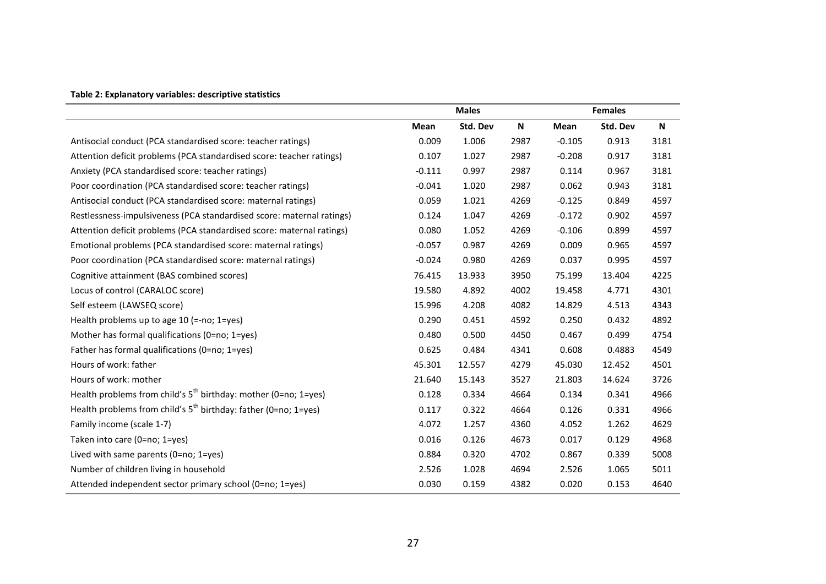#### **Table 2: Explanatory variables: descriptive statistics**

|                                                                       | <b>Males</b> |          |                           | <b>Females</b> |          |                           |
|-----------------------------------------------------------------------|--------------|----------|---------------------------|----------------|----------|---------------------------|
|                                                                       | Mean         | Std. Dev | $\boldsymbol{\mathsf{N}}$ | Mean           | Std. Dev | $\boldsymbol{\mathsf{N}}$ |
| Antisocial conduct (PCA standardised score: teacher ratings)          | 0.009        | 1.006    | 2987                      | $-0.105$       | 0.913    | 3181                      |
| Attention deficit problems (PCA standardised score: teacher ratings)  | 0.107        | 1.027    | 2987                      | $-0.208$       | 0.917    | 3181                      |
| Anxiety (PCA standardised score: teacher ratings)                     | $-0.111$     | 0.997    | 2987                      | 0.114          | 0.967    | 3181                      |
| Poor coordination (PCA standardised score: teacher ratings)           | $-0.041$     | 1.020    | 2987                      | 0.062          | 0.943    | 3181                      |
| Antisocial conduct (PCA standardised score: maternal ratings)         | 0.059        | 1.021    | 4269                      | $-0.125$       | 0.849    | 4597                      |
| Restlessness-impulsiveness (PCA standardised score: maternal ratings) | 0.124        | 1.047    | 4269                      | $-0.172$       | 0.902    | 4597                      |
| Attention deficit problems (PCA standardised score: maternal ratings) | 0.080        | 1.052    | 4269                      | $-0.106$       | 0.899    | 4597                      |
| Emotional problems (PCA standardised score: maternal ratings)         | $-0.057$     | 0.987    | 4269                      | 0.009          | 0.965    | 4597                      |
| Poor coordination (PCA standardised score: maternal ratings)          | $-0.024$     | 0.980    | 4269                      | 0.037          | 0.995    | 4597                      |
| Cognitive attainment (BAS combined scores)                            | 76.415       | 13.933   | 3950                      | 75.199         | 13.404   | 4225                      |
| Locus of control (CARALOC score)                                      | 19.580       | 4.892    | 4002                      | 19.458         | 4.771    | 4301                      |
| Self esteem (LAWSEQ score)                                            | 15.996       | 4.208    | 4082                      | 14.829         | 4.513    | 4343                      |
| Health problems up to age 10 (=-no; 1=yes)                            | 0.290        | 0.451    | 4592                      | 0.250          | 0.432    | 4892                      |
| Mother has formal qualifications (0=no; 1=yes)                        | 0.480        | 0.500    | 4450                      | 0.467          | 0.499    | 4754                      |
| Father has formal qualifications (0=no; 1=yes)                        | 0.625        | 0.484    | 4341                      | 0.608          | 0.4883   | 4549                      |
| Hours of work: father                                                 | 45.301       | 12.557   | 4279                      | 45.030         | 12.452   | 4501                      |
| Hours of work: mother                                                 | 21.640       | 15.143   | 3527                      | 21.803         | 14.624   | 3726                      |
| Health problems from child's $5^{th}$ birthday: mother (0=no; 1=yes)  | 0.128        | 0.334    | 4664                      | 0.134          | 0.341    | 4966                      |
| Health problems from child's $5^{th}$ birthday: father (0=no; 1=yes)  | 0.117        | 0.322    | 4664                      | 0.126          | 0.331    | 4966                      |
| Family income (scale 1-7)                                             | 4.072        | 1.257    | 4360                      | 4.052          | 1.262    | 4629                      |
| Taken into care (0=no; 1=yes)                                         | 0.016        | 0.126    | 4673                      | 0.017          | 0.129    | 4968                      |
| Lived with same parents (0=no; $1 = yes$ )                            | 0.884        | 0.320    | 4702                      | 0.867          | 0.339    | 5008                      |
| Number of children living in household                                | 2.526        | 1.028    | 4694                      | 2.526          | 1.065    | 5011                      |
| Attended independent sector primary school (0=no; 1=yes)              | 0.030        | 0.159    | 4382                      | 0.020          | 0.153    | 4640                      |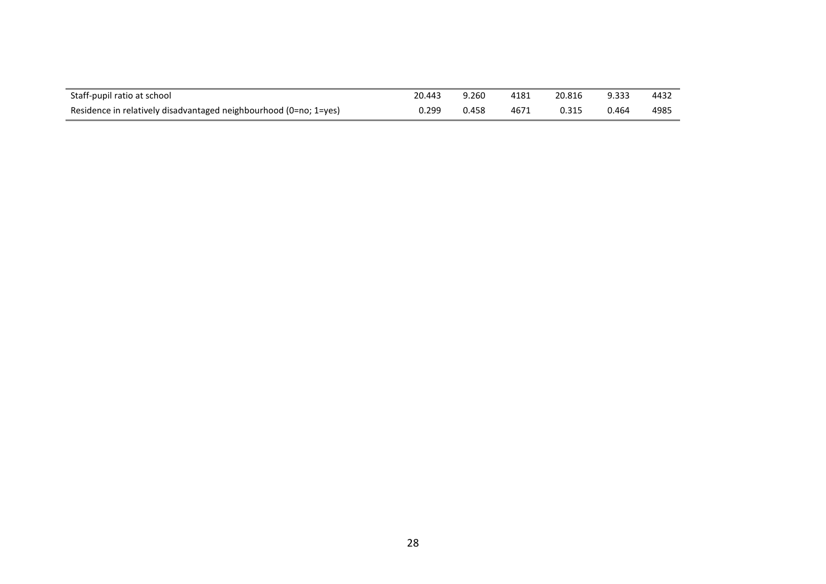| Staff-pupil ratio at school                                       | 20.443 | 9.260 | 4181 | 20.816 | 9.333 | 4432 |
|-------------------------------------------------------------------|--------|-------|------|--------|-------|------|
| Residence in relatively disadvantaged neighbourhood (0=no; 1=yes) | 0.299  | 0.458 | 4671 | 0.315  | 0.464 | 4985 |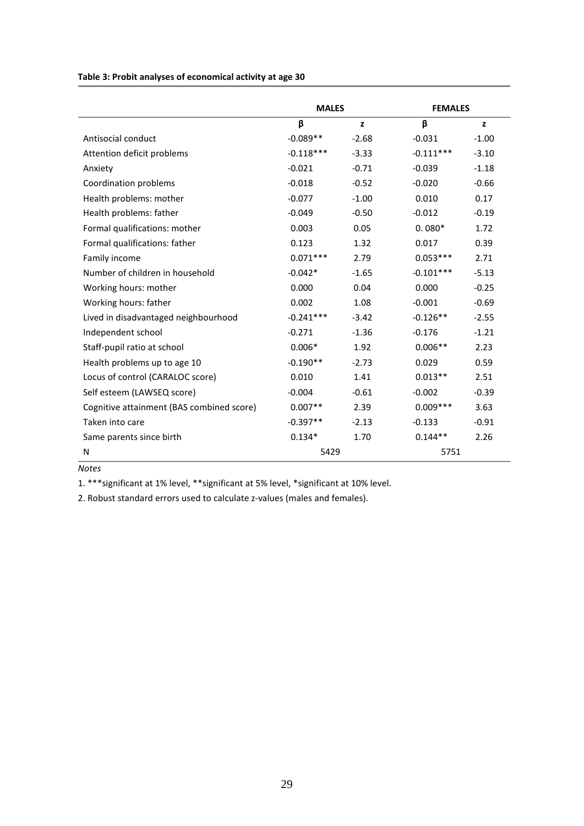**Table 3: Probit analyses of economical activity at age 30**

|                                           | <b>MALES</b> |         | <b>FEMALES</b> |         |
|-------------------------------------------|--------------|---------|----------------|---------|
|                                           | β            | z       | β              | z       |
| Antisocial conduct                        | $-0.089**$   | $-2.68$ | $-0.031$       | $-1.00$ |
| Attention deficit problems                | $-0.118***$  | $-3.33$ | $-0.111***$    | $-3.10$ |
| Anxiety                                   | $-0.021$     | $-0.71$ | $-0.039$       | $-1.18$ |
| Coordination problems                     | $-0.018$     | $-0.52$ | $-0.020$       | $-0.66$ |
| Health problems: mother                   | $-0.077$     | $-1.00$ | 0.010          | 0.17    |
| Health problems: father                   | $-0.049$     | $-0.50$ | $-0.012$       | $-0.19$ |
| Formal qualifications: mother             | 0.003        | 0.05    | $0.080*$       | 1.72    |
| Formal qualifications: father             | 0.123        | 1.32    | 0.017          | 0.39    |
| Family income                             | $0.071***$   | 2.79    | $0.053***$     | 2.71    |
| Number of children in household           | $-0.042*$    | $-1.65$ | $-0.101***$    | $-5.13$ |
| Working hours: mother                     | 0.000        | 0.04    | 0.000          | $-0.25$ |
| Working hours: father                     | 0.002        | 1.08    | $-0.001$       | $-0.69$ |
| Lived in disadvantaged neighbourhood      | $-0.241***$  | $-3.42$ | $-0.126**$     | $-2.55$ |
| Independent school                        | $-0.271$     | $-1.36$ | $-0.176$       | $-1.21$ |
| Staff-pupil ratio at school               | $0.006*$     | 1.92    | $0.006**$      | 2.23    |
| Health problems up to age 10              | $-0.190**$   | $-2.73$ | 0.029          | 0.59    |
| Locus of control (CARALOC score)          | 0.010        | 1.41    | $0.013**$      | 2.51    |
| Self esteem (LAWSEQ score)                | $-0.004$     | $-0.61$ | $-0.002$       | $-0.39$ |
| Cognitive attainment (BAS combined score) | $0.007**$    | 2.39    | $0.009***$     | 3.63    |
| Taken into care                           | $-0.397**$   | $-2.13$ | $-0.133$       | $-0.91$ |
| Same parents since birth                  | $0.134*$     | 1.70    | $0.144**$      | 2.26    |
| N                                         | 5429         |         | 5751           |         |

*Notes*

1. \*\*\*significant at 1% level, \*\*significant at 5% level, \*significant at 10% level.

2. Robust standard errors used to calculate z-values (males and females).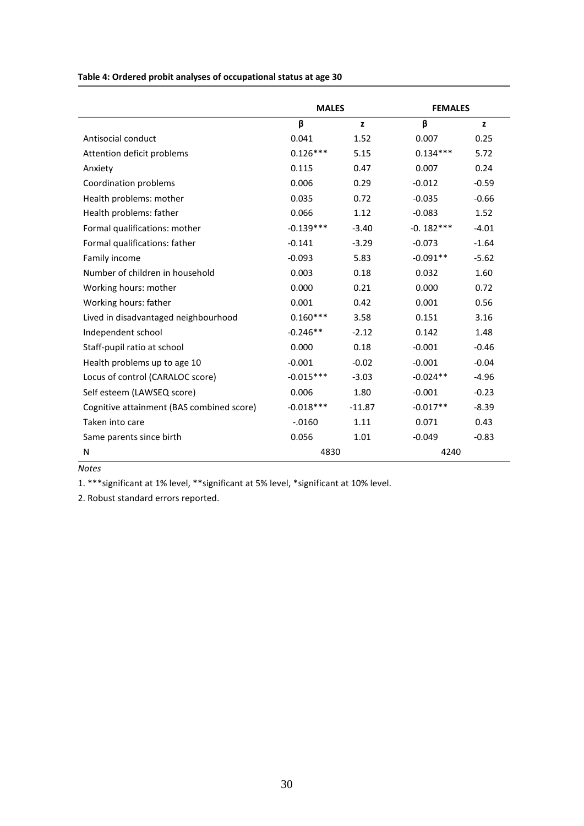**Table 4: Ordered probit analyses of occupational status at age 30**

|                                           | <b>MALES</b> |          | <b>FEMALES</b> |         |
|-------------------------------------------|--------------|----------|----------------|---------|
|                                           | β            | z        | β              | z       |
| Antisocial conduct                        | 0.041        | 1.52     | 0.007          | 0.25    |
| Attention deficit problems                | $0.126***$   | 5.15     | $0.134***$     | 5.72    |
| Anxiety                                   | 0.115        | 0.47     | 0.007          | 0.24    |
| Coordination problems                     | 0.006        | 0.29     | $-0.012$       | $-0.59$ |
| Health problems: mother                   | 0.035        | 0.72     | $-0.035$       | $-0.66$ |
| Health problems: father                   | 0.066        | 1.12     | $-0.083$       | 1.52    |
| Formal qualifications: mother             | $-0.139***$  | $-3.40$  | $-0.182***$    | $-4.01$ |
| Formal qualifications: father             | $-0.141$     | $-3.29$  | $-0.073$       | $-1.64$ |
| Family income                             | $-0.093$     | 5.83     | $-0.091**$     | $-5.62$ |
| Number of children in household           | 0.003        | 0.18     | 0.032          | 1.60    |
| Working hours: mother                     | 0.000        | 0.21     | 0.000          | 0.72    |
| Working hours: father                     | 0.001        | 0.42     | 0.001          | 0.56    |
| Lived in disadvantaged neighbourhood      | $0.160***$   | 3.58     | 0.151          | 3.16    |
| Independent school                        | $-0.246**$   | $-2.12$  | 0.142          | 1.48    |
| Staff-pupil ratio at school               | 0.000        | 0.18     | $-0.001$       | $-0.46$ |
| Health problems up to age 10              | $-0.001$     | $-0.02$  | $-0.001$       | $-0.04$ |
| Locus of control (CARALOC score)          | $-0.015***$  | $-3.03$  | $-0.024**$     | $-4.96$ |
| Self esteem (LAWSEQ score)                | 0.006        | 1.80     | $-0.001$       | $-0.23$ |
| Cognitive attainment (BAS combined score) | $-0.018***$  | $-11.87$ | $-0.017**$     | $-8.39$ |
| Taken into care                           | $-0.0160$    | 1.11     | 0.071          | 0.43    |
| Same parents since birth                  | 0.056        | 1.01     | $-0.049$       | $-0.83$ |
| N                                         | 4830         |          | 4240           |         |

*Notes*

1. \*\*\*significant at 1% level, \*\*significant at 5% level, \*significant at 10% level.

2. Robust standard errors reported.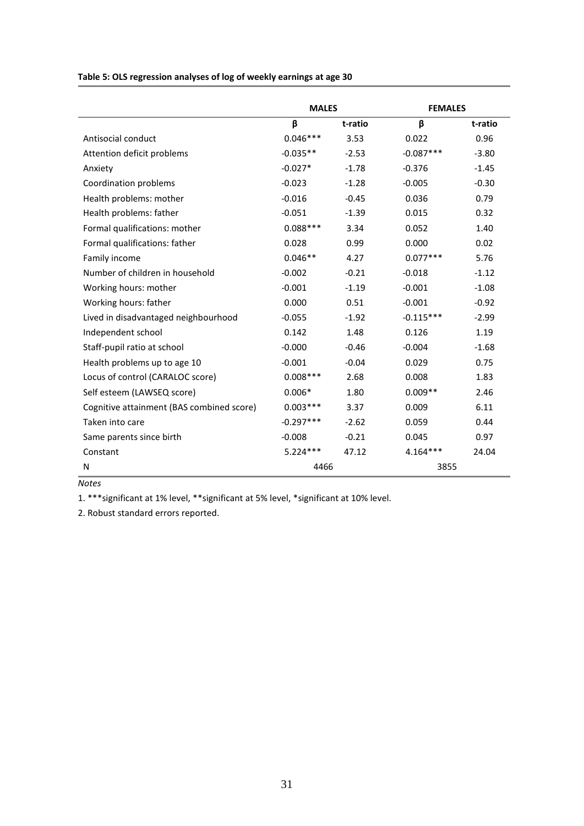**Table 5: OLS regression analyses of log of weekly earnings at age 30**

|                                           | <b>MALES</b> |         | <b>FEMALES</b> |         |
|-------------------------------------------|--------------|---------|----------------|---------|
|                                           | β            | t-ratio | β              | t-ratio |
| Antisocial conduct                        | $0.046***$   | 3.53    | 0.022          | 0.96    |
| Attention deficit problems                | $-0.035**$   | $-2.53$ | $-0.087***$    | $-3.80$ |
| Anxiety                                   | $-0.027*$    | $-1.78$ | $-0.376$       | $-1.45$ |
| Coordination problems                     | $-0.023$     | $-1.28$ | $-0.005$       | $-0.30$ |
| Health problems: mother                   | $-0.016$     | $-0.45$ | 0.036          | 0.79    |
| Health problems: father                   | $-0.051$     | $-1.39$ | 0.015          | 0.32    |
| Formal qualifications: mother             | $0.088***$   | 3.34    | 0.052          | 1.40    |
| Formal qualifications: father             | 0.028        | 0.99    | 0.000          | 0.02    |
| Family income                             | $0.046**$    | 4.27    | $0.077***$     | 5.76    |
| Number of children in household           | $-0.002$     | $-0.21$ | $-0.018$       | $-1.12$ |
| Working hours: mother                     | $-0.001$     | $-1.19$ | $-0.001$       | $-1.08$ |
| Working hours: father                     | 0.000        | 0.51    | $-0.001$       | $-0.92$ |
| Lived in disadvantaged neighbourhood      | $-0.055$     | $-1.92$ | $-0.115***$    | $-2.99$ |
| Independent school                        | 0.142        | 1.48    | 0.126          | 1.19    |
| Staff-pupil ratio at school               | $-0.000$     | $-0.46$ | $-0.004$       | $-1.68$ |
| Health problems up to age 10              | $-0.001$     | $-0.04$ | 0.029          | 0.75    |
| Locus of control (CARALOC score)          | $0.008***$   | 2.68    | 0.008          | 1.83    |
| Self esteem (LAWSEQ score)                | $0.006*$     | 1.80    | $0.009**$      | 2.46    |
| Cognitive attainment (BAS combined score) | $0.003***$   | 3.37    | 0.009          | 6.11    |
| Taken into care                           | $-0.297***$  | $-2.62$ | 0.059          | 0.44    |
| Same parents since birth                  | $-0.008$     | $-0.21$ | 0.045          | 0.97    |
| Constant                                  | $5.224***$   | 47.12   | $4.164***$     | 24.04   |
| N                                         | 4466         |         | 3855           |         |

*Notes*

1. \*\*\*significant at 1% level, \*\*significant at 5% level, \*significant at 10% level.

2. Robust standard errors reported.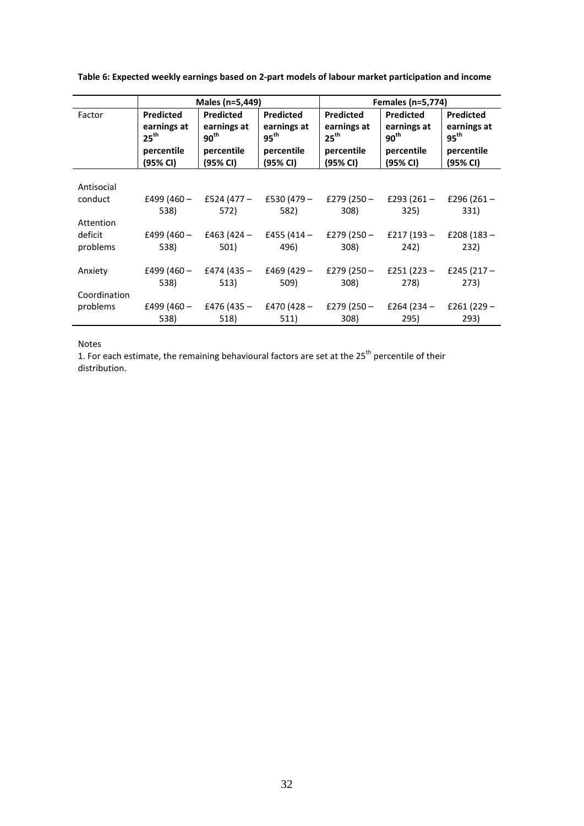|              |                                 | Males (n=5,449)                 |                                 |                                 | Females (n=5,774)               |                                 |  |
|--------------|---------------------------------|---------------------------------|---------------------------------|---------------------------------|---------------------------------|---------------------------------|--|
| Factor       | <b>Predicted</b>                | <b>Predicted</b>                | <b>Predicted</b>                | <b>Predicted</b>                | <b>Predicted</b>                | <b>Predicted</b>                |  |
|              | earnings at<br>$25^{\text{th}}$ | earnings at<br>90 <sup>th</sup> | earnings at<br>$95^{\text{th}}$ | earnings at<br>25 <sup>th</sup> | earnings at<br>$90^{\text{th}}$ | earnings at<br>$95^{\text{th}}$ |  |
|              | percentile<br>(95% CI)          | percentile<br>(95% CI)          | percentile<br>(95% CI)          | percentile<br>(95% CI)          | percentile<br>(95% CI)          | percentile<br>(95% CI)          |  |
|              |                                 |                                 |                                 |                                 |                                 |                                 |  |
| Antisocial   |                                 |                                 |                                 |                                 |                                 |                                 |  |
| conduct      | £499 (460 –<br>538)             | £524 (477 –<br>572)             | £530 $(479 -$<br>582)           | £279 $(250 -$<br>308)           | £293 (261 –<br>325)             | £296 $(261 -$<br>331)           |  |
| Attention    |                                 |                                 |                                 |                                 |                                 |                                 |  |
| deficit      | £499 $(460 -$                   | £463 (424 –                     | £455 (414 –                     |                                 | £279 (250 - £217 (193 -         | £208 $(183 -$                   |  |
| problems     | 538)                            | 501)                            | 496)                            | 308)                            | 242)                            | 232)                            |  |
| Anxiety      | £499 (460 –                     | £474 (435 –                     | £469 (429 –                     |                                 | £279 (250 - £251 (223 -         | £245 $(217 -$                   |  |
|              | 538)                            | 513)                            | 509)                            | 308)                            | 278)                            | 273)                            |  |
| Coordination |                                 |                                 |                                 |                                 |                                 |                                 |  |
| problems     | £499 (460 –                     | £476 (435 –                     | £470 (428 –                     | £279 (250 –                     | £264 (234 –                     | £261 $(229 -$                   |  |
|              | 538)                            | 518)                            | 511)                            | 308)                            | 295)                            | 293)                            |  |

**Table 6: Expected weekly earnings based on 2-part models of labour market participation and income**

#### Notes

1. For each estimate, the remaining behavioural factors are set at the 25<sup>th</sup> percentile of their distribution.